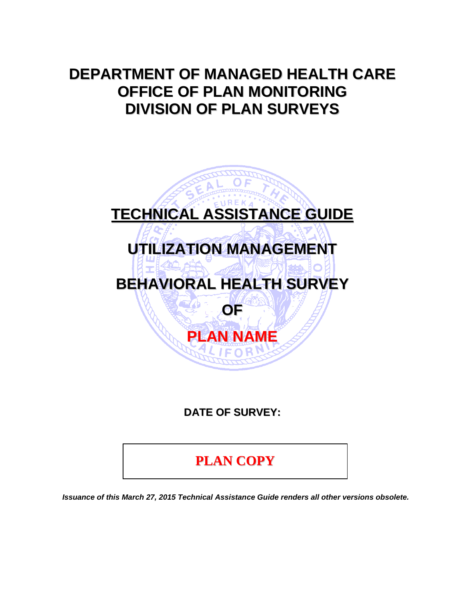# **DEPARTMENT OF MANAGED HEALTH CARE OFFICE OF PLAN MONITORING DIVISION OF PLAN SURVEYS**



**DATE OF SURVEY:**

**PLAN COPY**

*Issuance of this March 27, 2015 Technical Assistance Guide renders all other versions obsolete.*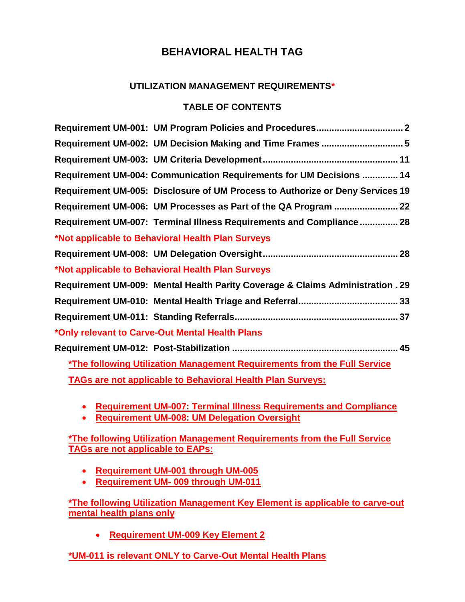# **UTILIZATION MANAGEMENT REQUIREMENTS\***

# **TABLE OF CONTENTS**

| Requirement UM-002: UM Decision Making and Time Frames  5                      |
|--------------------------------------------------------------------------------|
|                                                                                |
| Requirement UM-004: Communication Requirements for UM Decisions  14            |
| Requirement UM-005: Disclosure of UM Process to Authorize or Deny Services 19  |
|                                                                                |
| Requirement UM-007: Terminal Illness Requirements and Compliance 28            |
| *Not applicable to Behavioral Health Plan Surveys                              |
|                                                                                |
| *Not applicable to Behavioral Health Plan Surveys                              |
| Requirement UM-009: Mental Health Parity Coverage & Claims Administration . 29 |
|                                                                                |
|                                                                                |
| *Only relevant to Carve-Out Mental Health Plans                                |
|                                                                                |
| *The following Utilization Management Requirements from the Full Service       |
| <b>TAGs are not applicable to Behavioral Health Plan Surveys:</b>              |

- **Requirement UM-007: Terminal Illness Requirements and Compliance**
- **Requirement UM-008: UM Delegation Oversight**

**\*The following Utilization Management Requirements from the Full Service TAGs are not applicable to EAPs:**

- **Requirement UM-001 through UM-005**
- **Requirement UM- 009 through UM-011**

**\*The following Utilization Management Key Element is applicable to carve-out mental health plans only** 

**Requirement UM-009 Key Element 2**

**\*UM-011 is relevant ONLY to Carve-Out Mental Health Plans**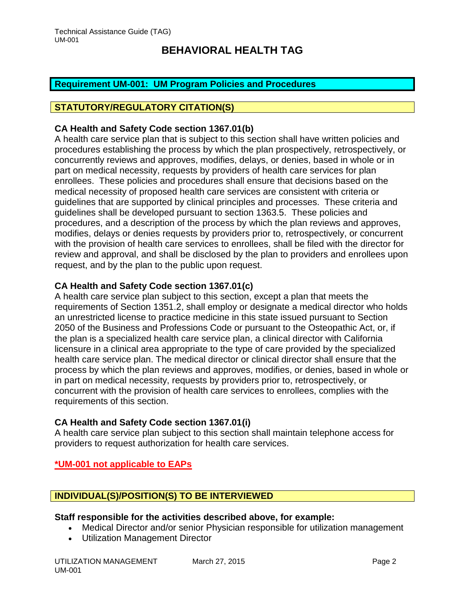## <span id="page-2-0"></span>**Requirement UM-001: UM Program Policies and Procedures**

### **STATUTORY/REGULATORY CITATION(S)**

### **CA Health and Safety Code section 1367.01(b)**

A health care service plan that is subject to this section shall have written policies and procedures establishing the process by which the plan prospectively, retrospectively, or concurrently reviews and approves, modifies, delays, or denies, based in whole or in part on medical necessity, requests by providers of health care services for plan enrollees. These policies and procedures shall ensure that decisions based on the medical necessity of proposed health care services are consistent with criteria or guidelines that are supported by clinical principles and processes. These criteria and guidelines shall be developed pursuant to section 1363.5. These policies and procedures, and a description of the process by which the plan reviews and approves, modifies, delays or denies requests by providers prior to, retrospectively, or concurrent with the provision of health care services to enrollees, shall be filed with the director for review and approval, and shall be disclosed by the plan to providers and enrollees upon request, and by the plan to the public upon request.

### **CA Health and Safety Code section 1367.01(c)**

A health care service plan subject to this section, except a plan that meets the requirements of Section 1351.2, shall employ or designate a medical director who holds an unrestricted license to practice medicine in this state issued pursuant to Section 2050 of the Business and Professions Code or pursuant to the Osteopathic Act, or, if the plan is a specialized health care service plan, a clinical director with California licensure in a clinical area appropriate to the type of care provided by the specialized health care service plan. The medical director or clinical director shall ensure that the process by which the plan reviews and approves, modifies, or denies, based in whole or in part on medical necessity, requests by providers prior to, retrospectively, or concurrent with the provision of health care services to enrollees, complies with the requirements of this section.

### **CA Health and Safety Code section 1367.01(i)**

A health care service plan subject to this section shall maintain telephone access for providers to request authorization for health care services.

## **\*UM-001 not applicable to EAPs**

## **INDIVIDUAL(S)/POSITION(S) TO BE INTERVIEWED**

### **Staff responsible for the activities described above, for example:**

- Medical Director and/or senior Physician responsible for utilization management
- Utilization Management Director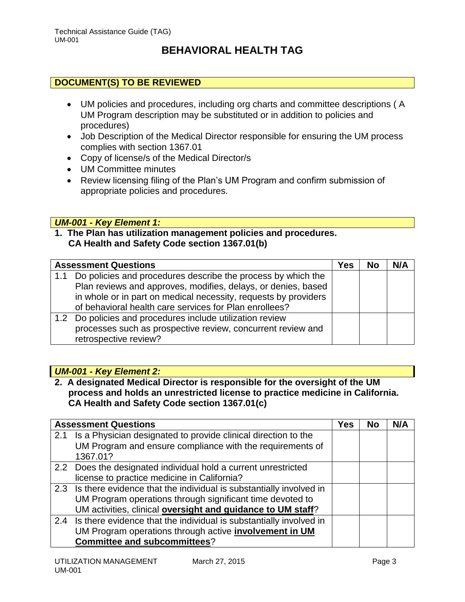## **DOCUMENT(S) TO BE REVIEWED**

- UM policies and procedures, including org charts and committee descriptions ( A UM Program description may be substituted or in addition to policies and procedures)
- Job Description of the Medical Director responsible for ensuring the UM process complies with section 1367.01
- Copy of license/s of the Medical Director/s
- UM Committee minutes
- Review licensing filing of the Plan's UM Program and confirm submission of appropriate policies and procedures.

### *UM-001 - Key Element 1:*

**1. The Plan has utilization management policies and procedures. CA Health and Safety Code section 1367.01(b)**

|     | <b>Assessment Questions</b>                                                                                                                                                                                                                                | Yes | <b>No</b> | N/A |
|-----|------------------------------------------------------------------------------------------------------------------------------------------------------------------------------------------------------------------------------------------------------------|-----|-----------|-----|
| 1.1 | Do policies and procedures describe the process by which the<br>Plan reviews and approves, modifies, delays, or denies, based<br>in whole or in part on medical necessity, requests by providers<br>of behavioral health care services for Plan enrollees? |     |           |     |
|     | 1.2 Do policies and procedures include utilization review<br>processes such as prospective review, concurrent review and<br>retrospective review?                                                                                                          |     |           |     |

## *UM-001 - Key Element 2:*

**2. A designated Medical Director is responsible for the oversight of the UM process and holds an unrestricted license to practice medicine in California. CA Health and Safety Code section 1367.01(c)**

|     | <b>Assessment Questions</b>                                            | <b>Yes</b> | <b>No</b> | N/A |
|-----|------------------------------------------------------------------------|------------|-----------|-----|
| 2.1 | Is a Physician designated to provide clinical direction to the         |            |           |     |
|     | UM Program and ensure compliance with the requirements of              |            |           |     |
|     | 1367.01?                                                               |            |           |     |
|     | 2.2 Does the designated individual hold a current unrestricted         |            |           |     |
|     | license to practice medicine in California?                            |            |           |     |
|     | 2.3 Is there evidence that the individual is substantially involved in |            |           |     |
|     | UM Program operations through significant time devoted to              |            |           |     |
|     | UM activities, clinical oversight and guidance to UM staff?            |            |           |     |
|     | 2.4 Is there evidence that the individual is substantially involved in |            |           |     |
|     | UM Program operations through active <i>involvement in UM</i>          |            |           |     |
|     | <b>Committee and subcommittees?</b>                                    |            |           |     |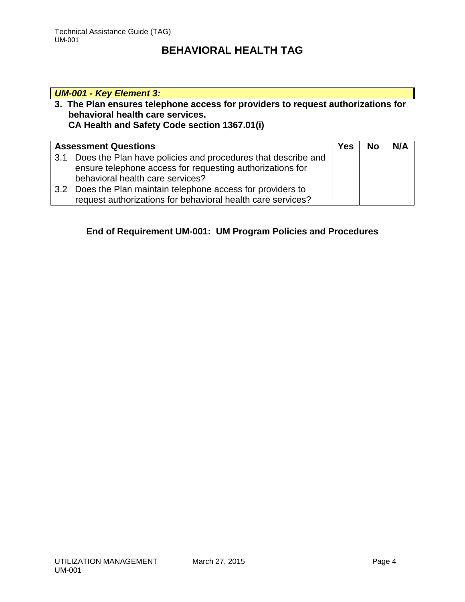# *UM-001 - Key Element 3:*

### **3. The Plan ensures telephone access for providers to request authorizations for behavioral health care services. CA Health and Safety Code section 1367.01(i)**

|     | <b>Assessment Questions</b>                                                                                                                                   | Yes | <b>No</b> | N/A |
|-----|---------------------------------------------------------------------------------------------------------------------------------------------------------------|-----|-----------|-----|
| 3.1 | Does the Plan have policies and procedures that describe and<br>ensure telephone access for requesting authorizations for<br>behavioral health care services? |     |           |     |
| 3.2 | Does the Plan maintain telephone access for providers to<br>request authorizations for behavioral health care services?                                       |     |           |     |

# **End of Requirement UM-001: UM Program Policies and Procedures**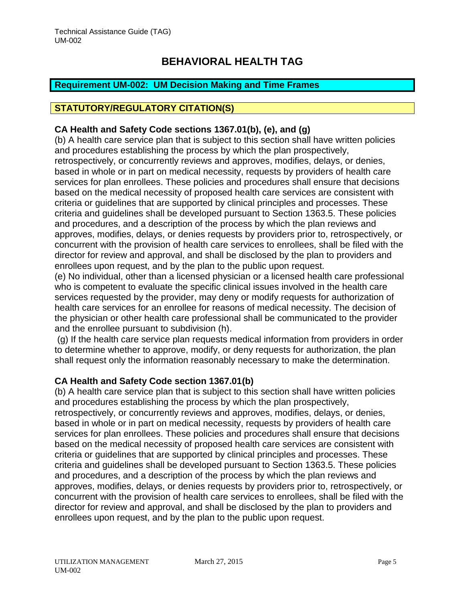## <span id="page-5-0"></span>**Requirement UM-002: UM Decision Making and Time Frames**

## **STATUTORY/REGULATORY CITATION(S)**

## **CA Health and Safety Code sections 1367.01(b), (e), and (g)**

(b) A health care service plan that is subject to this section shall have written policies and procedures establishing the process by which the plan prospectively, retrospectively, or concurrently reviews and approves, modifies, delays, or denies, based in whole or in part on medical necessity, requests by providers of health care services for plan enrollees. These policies and procedures shall ensure that decisions based on the medical necessity of proposed health care services are consistent with criteria or guidelines that are supported by clinical principles and processes. These criteria and guidelines shall be developed pursuant to Section 1363.5. These policies and procedures, and a description of the process by which the plan reviews and approves, modifies, delays, or denies requests by providers prior to, retrospectively, or concurrent with the provision of health care services to enrollees, shall be filed with the director for review and approval, and shall be disclosed by the plan to providers and enrollees upon request, and by the plan to the public upon request.

(e) No individual, other than a licensed physician or a licensed health care professional who is competent to evaluate the specific clinical issues involved in the health care services requested by the provider, may deny or modify requests for authorization of health care services for an enrollee for reasons of medical necessity. The decision of the physician or other health care professional shall be communicated to the provider and the enrollee pursuant to subdivision (h).

(g) If the health care service plan requests medical information from providers in order to determine whether to approve, modify, or deny requests for authorization, the plan shall request only the information reasonably necessary to make the determination.

## **CA Health and Safety Code section 1367.01(b)**

(b) A health care service plan that is subject to this section shall have written policies and procedures establishing the process by which the plan prospectively, retrospectively, or concurrently reviews and approves, modifies, delays, or denies, based in whole or in part on medical necessity, requests by providers of health care services for plan enrollees. These policies and procedures shall ensure that decisions based on the medical necessity of proposed health care services are consistent with criteria or guidelines that are supported by clinical principles and processes. These criteria and guidelines shall be developed pursuant to Section 1363.5. These policies and procedures, and a description of the process by which the plan reviews and approves, modifies, delays, or denies requests by providers prior to, retrospectively, or concurrent with the provision of health care services to enrollees, shall be filed with the director for review and approval, and shall be disclosed by the plan to providers and enrollees upon request, and by the plan to the public upon request.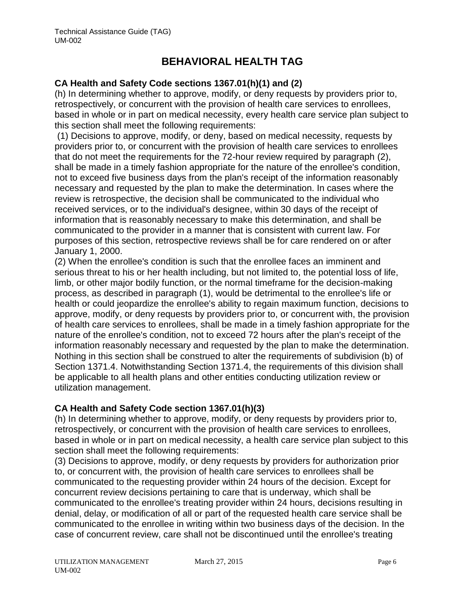## **CA Health and Safety Code sections 1367.01(h)(1) and (2)**

(h) In determining whether to approve, modify, or deny requests by providers prior to, retrospectively, or concurrent with the provision of health care services to enrollees, based in whole or in part on medical necessity, every health care service plan subject to this section shall meet the following requirements:

(1) Decisions to approve, modify, or deny, based on medical necessity, requests by providers prior to, or concurrent with the provision of health care services to enrollees that do not meet the requirements for the 72-hour review required by paragraph (2), shall be made in a timely fashion appropriate for the nature of the enrollee's condition, not to exceed five business days from the plan's receipt of the information reasonably necessary and requested by the plan to make the determination. In cases where the review is retrospective, the decision shall be communicated to the individual who received services, or to the individual's designee, within 30 days of the receipt of information that is reasonably necessary to make this determination, and shall be communicated to the provider in a manner that is consistent with current law. For purposes of this section, retrospective reviews shall be for care rendered on or after January 1, 2000.

(2) When the enrollee's condition is such that the enrollee faces an imminent and serious threat to his or her health including, but not limited to, the potential loss of life, limb, or other major bodily function, or the normal timeframe for the decision-making process, as described in paragraph (1), would be detrimental to the enrollee's life or health or could jeopardize the enrollee's ability to regain maximum function, decisions to approve, modify, or deny requests by providers prior to, or concurrent with, the provision of health care services to enrollees, shall be made in a timely fashion appropriate for the nature of the enrollee's condition, not to exceed 72 hours after the plan's receipt of the information reasonably necessary and requested by the plan to make the determination. Nothing in this section shall be construed to alter the requirements of subdivision (b) of Section 1371.4. Notwithstanding Section 1371.4, the requirements of this division shall be applicable to all health plans and other entities conducting utilization review or utilization management.

## **CA Health and Safety Code section 1367.01(h)(3)**

(h) In determining whether to approve, modify, or deny requests by providers prior to, retrospectively, or concurrent with the provision of health care services to enrollees, based in whole or in part on medical necessity, a health care service plan subject to this section shall meet the following requirements:

(3) Decisions to approve, modify, or deny requests by providers for authorization prior to, or concurrent with, the provision of health care services to enrollees shall be communicated to the requesting provider within 24 hours of the decision. Except for concurrent review decisions pertaining to care that is underway, which shall be communicated to the enrollee's treating provider within 24 hours, decisions resulting in denial, delay, or modification of all or part of the requested health care service shall be communicated to the enrollee in writing within two business days of the decision. In the case of concurrent review, care shall not be discontinued until the enrollee's treating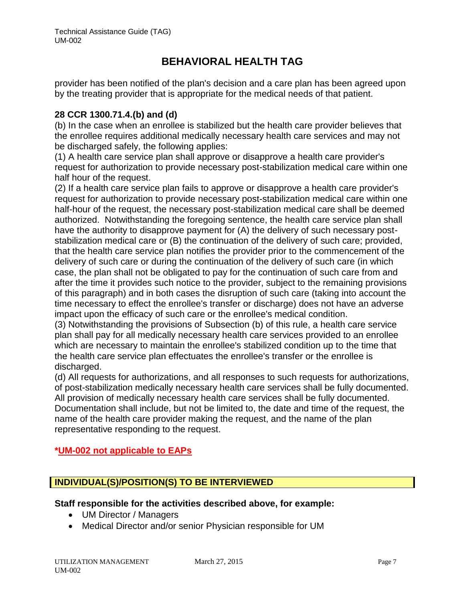provider has been notified of the plan's decision and a care plan has been agreed upon by the treating provider that is appropriate for the medical needs of that patient.

### **28 CCR 1300.71.4.(b) and (d)**

(b) In the case when an enrollee is stabilized but the health care provider believes that the enrollee requires additional medically necessary health care services and may not be discharged safely, the following applies:

(1) A health care service plan shall approve or disapprove a health care provider's request for authorization to provide necessary post-stabilization medical care within one half hour of the request.

(2) If a health care service plan fails to approve or disapprove a health care provider's request for authorization to provide necessary post-stabilization medical care within one half-hour of the request, the necessary post-stabilization medical care shall be deemed authorized. Notwithstanding the foregoing sentence, the health care service plan shall have the authority to disapprove payment for (A) the delivery of such necessary poststabilization medical care or (B) the continuation of the delivery of such care; provided, that the health care service plan notifies the provider prior to the commencement of the delivery of such care or during the continuation of the delivery of such care (in which case, the plan shall not be obligated to pay for the continuation of such care from and after the time it provides such notice to the provider, subject to the remaining provisions of this paragraph) and in both cases the disruption of such care (taking into account the time necessary to effect the enrollee's transfer or discharge) does not have an adverse impact upon the efficacy of such care or the enrollee's medical condition.

(3) Notwithstanding the provisions of Subsection (b) of this rule, a health care service plan shall pay for all medically necessary health care services provided to an enrollee which are necessary to maintain the enrollee's stabilized condition up to the time that the health care service plan effectuates the enrollee's transfer or the enrollee is discharged.

(d) All requests for authorizations, and all responses to such requests for authorizations, of post-stabilization medically necessary health care services shall be fully documented. All provision of medically necessary health care services shall be fully documented. Documentation shall include, but not be limited to, the date and time of the request, the name of the health care provider making the request, and the name of the plan representative responding to the request.

## **\*UM-002 not applicable to EAPs**

# **INDIVIDUAL(S)/POSITION(S) TO BE INTERVIEWED**

### **Staff responsible for the activities described above, for example:**

- UM Director / Managers
- Medical Director and/or senior Physician responsible for UM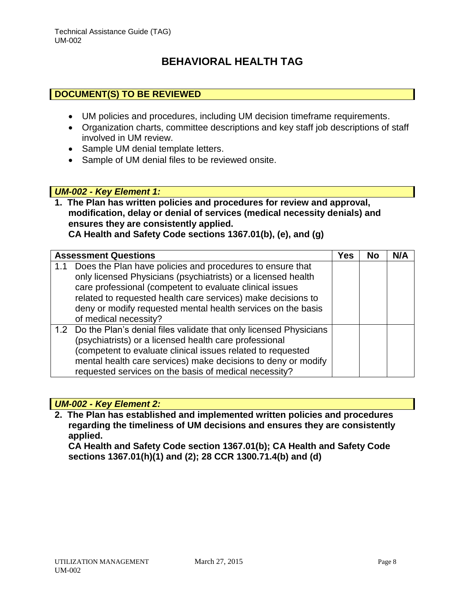## **DOCUMENT(S) TO BE REVIEWED**

- UM policies and procedures, including UM decision timeframe requirements.
- Organization charts, committee descriptions and key staff job descriptions of staff involved in UM review.
- Sample UM denial template letters.
- Sample of UM denial files to be reviewed onsite.

### *UM-002 - Key Element 1:*

**1. The Plan has written policies and procedures for review and approval, modification, delay or denial of services (medical necessity denials) and ensures they are consistently applied. CA Health and Safety Code sections 1367.01(b), (e), and (g)**

|     | <b>Assessment Questions</b>                                                                                                                                                                                                                                                                                                                     | Yes | <b>No</b> | N/A |
|-----|-------------------------------------------------------------------------------------------------------------------------------------------------------------------------------------------------------------------------------------------------------------------------------------------------------------------------------------------------|-----|-----------|-----|
| 1.1 | Does the Plan have policies and procedures to ensure that<br>only licensed Physicians (psychiatrists) or a licensed health<br>care professional (competent to evaluate clinical issues<br>related to requested health care services) make decisions to<br>deny or modify requested mental health services on the basis<br>of medical necessity? |     |           |     |
|     | 1.2 Do the Plan's denial files validate that only licensed Physicians<br>(psychiatrists) or a licensed health care professional<br>(competent to evaluate clinical issues related to requested<br>mental health care services) make decisions to deny or modify<br>requested services on the basis of medical necessity?                        |     |           |     |

### *UM-002 - Key Element 2:*

**2. The Plan has established and implemented written policies and procedures regarding the timeliness of UM decisions and ensures they are consistently applied.** 

**CA Health and Safety Code section 1367.01(b); CA Health and Safety Code sections 1367.01(h)(1) and (2); 28 CCR 1300.71.4(b) and (d)**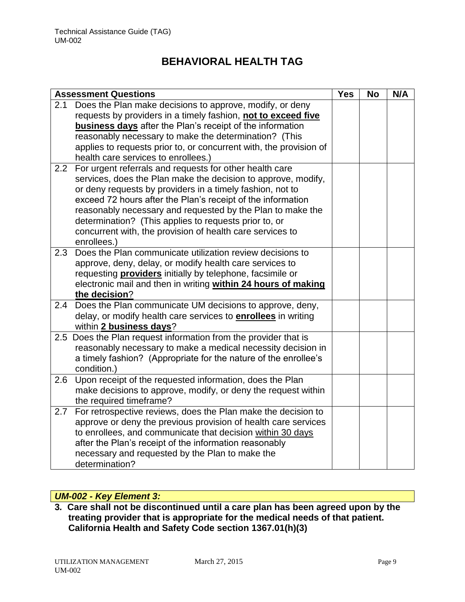|     | <b>Assessment Questions</b>                                                                     | <b>Yes</b> | <b>No</b> | N/A |
|-----|-------------------------------------------------------------------------------------------------|------------|-----------|-----|
| 2.1 | Does the Plan make decisions to approve, modify, or deny                                        |            |           |     |
|     | requests by providers in a timely fashion, not to exceed five                                   |            |           |     |
|     | <b>business days</b> after the Plan's receipt of the information                                |            |           |     |
|     | reasonably necessary to make the determination? (This                                           |            |           |     |
|     | applies to requests prior to, or concurrent with, the provision of                              |            |           |     |
|     | health care services to enrollees.)                                                             |            |           |     |
| 2.2 | For urgent referrals and requests for other health care                                         |            |           |     |
|     | services, does the Plan make the decision to approve, modify,                                   |            |           |     |
|     | or deny requests by providers in a timely fashion, not to                                       |            |           |     |
|     | exceed 72 hours after the Plan's receipt of the information                                     |            |           |     |
|     | reasonably necessary and requested by the Plan to make the                                      |            |           |     |
|     | determination? (This applies to requests prior to, or                                           |            |           |     |
|     | concurrent with, the provision of health care services to                                       |            |           |     |
|     | enrollees.)                                                                                     |            |           |     |
| 2.3 | Does the Plan communicate utilization review decisions to                                       |            |           |     |
|     | approve, deny, delay, or modify health care services to                                         |            |           |     |
|     | requesting <b>providers</b> initially by telephone, facsimile or                                |            |           |     |
|     | electronic mail and then in writing within 24 hours of making                                   |            |           |     |
| 2.4 | the decision?                                                                                   |            |           |     |
|     | Does the Plan communicate UM decisions to approve, deny,                                        |            |           |     |
|     | delay, or modify health care services to <b>enrollees</b> in writing<br>within 2 business days? |            |           |     |
| 2.5 |                                                                                                 |            |           |     |
|     | Does the Plan request information from the provider that is                                     |            |           |     |
|     | reasonably necessary to make a medical necessity decision in                                    |            |           |     |
|     | a timely fashion? (Appropriate for the nature of the enrollee's<br>condition.)                  |            |           |     |
| 2.6 | Upon receipt of the requested information, does the Plan                                        |            |           |     |
|     | make decisions to approve, modify, or deny the request within                                   |            |           |     |
|     | the required timeframe?                                                                         |            |           |     |
| 2.7 | For retrospective reviews, does the Plan make the decision to                                   |            |           |     |
|     | approve or deny the previous provision of health care services                                  |            |           |     |
|     | to enrollees, and communicate that decision within 30 days                                      |            |           |     |
|     | after the Plan's receipt of the information reasonably                                          |            |           |     |
|     | necessary and requested by the Plan to make the                                                 |            |           |     |
|     | determination?                                                                                  |            |           |     |
|     |                                                                                                 |            |           |     |

# *UM-002 - Key Element 3:*

**3***.* **Care shall not be discontinued until a care plan has been agreed upon by the treating provider that is appropriate for the medical needs of that patient. California Health and Safety Code section 1367.01(h)(3)**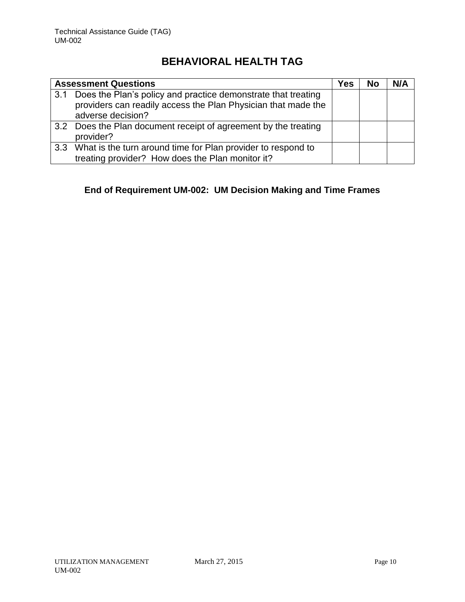| <b>Assessment Questions</b> |                                                                                                                                                         | Yes | No | N/A |
|-----------------------------|---------------------------------------------------------------------------------------------------------------------------------------------------------|-----|----|-----|
|                             | 3.1 Does the Plan's policy and practice demonstrate that treating<br>providers can readily access the Plan Physician that made the<br>adverse decision? |     |    |     |
|                             | 3.2 Does the Plan document receipt of agreement by the treating<br>provider?                                                                            |     |    |     |
|                             | 3.3 What is the turn around time for Plan provider to respond to<br>treating provider? How does the Plan monitor it?                                    |     |    |     |

# **End of Requirement UM-002: UM Decision Making and Time Frames**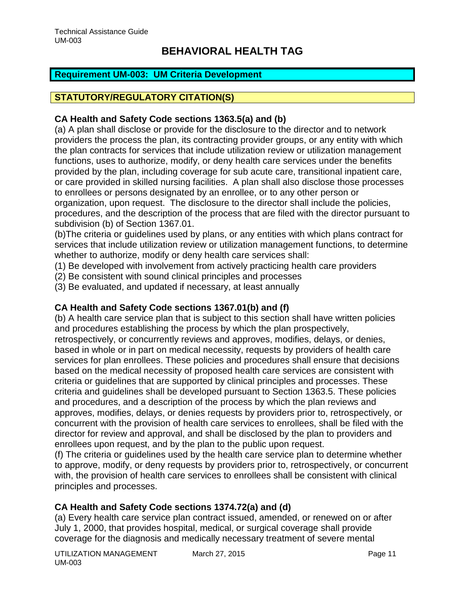## <span id="page-11-0"></span>**Requirement UM-003: UM Criteria Development**

# **STATUTORY/REGULATORY CITATION(S)**

## **CA Health and Safety Code sections 1363.5(a) and (b)**

(a) A plan shall disclose or provide for the disclosure to the director and to network providers the process the plan, its contracting provider groups, or any entity with which the plan contracts for services that include utilization review or utilization management functions, uses to authorize, modify, or deny health care services under the benefits provided by the plan, including coverage for sub acute care, transitional inpatient care, or care provided in skilled nursing facilities. A plan shall also disclose those processes to enrollees or persons designated by an enrollee, or to any other person or organization, upon request. The disclosure to the director shall include the policies, procedures, and the description of the process that are filed with the director pursuant to subdivision (b) of Section 1367.01.

(b)The criteria or guidelines used by plans, or any entities with which plans contract for services that include utilization review or utilization management functions, to determine whether to authorize, modify or deny health care services shall:

- (1) Be developed with involvement from actively practicing health care providers
- (2) Be consistent with sound clinical principles and processes
- (3) Be evaluated, and updated if necessary, at least annually

## **CA Health and Safety Code sections 1367.01(b) and (f)**

(b) A health care service plan that is subject to this section shall have written policies and procedures establishing the process by which the plan prospectively, retrospectively, or concurrently reviews and approves, modifies, delays, or denies, based in whole or in part on medical necessity, requests by providers of health care services for plan enrollees. These policies and procedures shall ensure that decisions based on the medical necessity of proposed health care services are consistent with criteria or guidelines that are supported by clinical principles and processes. These criteria and guidelines shall be developed pursuant to Section 1363.5. These policies and procedures, and a description of the process by which the plan reviews and approves, modifies, delays, or denies requests by providers prior to, retrospectively, or concurrent with the provision of health care services to enrollees, shall be filed with the director for review and approval, and shall be disclosed by the plan to providers and enrollees upon request, and by the plan to the public upon request.

(f) The criteria or guidelines used by the health care service plan to determine whether to approve, modify, or deny requests by providers prior to, retrospectively, or concurrent with, the provision of health care services to enrollees shall be consistent with clinical principles and processes.

# **CA Health and Safety Code sections 1374.72(a) and (d)**

(a) Every health care service plan contract issued, amended, or renewed on or after July 1, 2000, that provides hospital, medical, or surgical coverage shall provide coverage for the diagnosis and medically necessary treatment of severe mental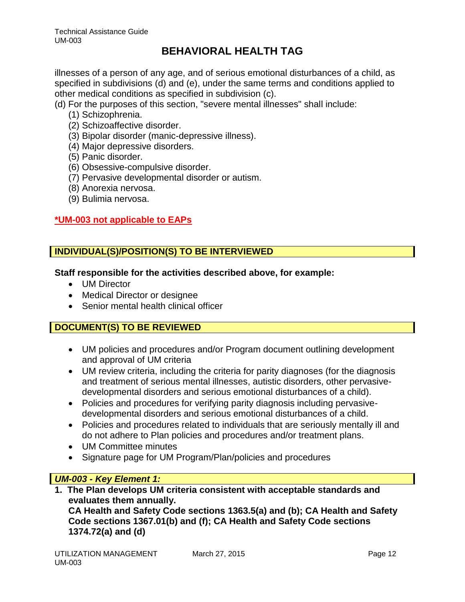illnesses of a person of any age, and of serious emotional disturbances of a child, as specified in subdivisions (d) and (e), under the same terms and conditions applied to other medical conditions as specified in subdivision (c).

- (d) For the purposes of this section, "severe mental illnesses" shall include:
	- (1) Schizophrenia.
	- (2) Schizoaffective disorder.
	- (3) Bipolar disorder (manic-depressive illness).
	- (4) Major depressive disorders.
	- (5) Panic disorder.
	- (6) Obsessive-compulsive disorder.
	- (7) Pervasive developmental disorder or autism.
	- (8) Anorexia nervosa.
	- (9) Bulimia nervosa.

# **\*UM-003 not applicable to EAPs**

# **INDIVIDUAL(S)/POSITION(S) TO BE INTERVIEWED**

## **Staff responsible for the activities described above, for example:**

- UM Director
- Medical Director or designee
- Senior mental health clinical officer

# **DOCUMENT(S) TO BE REVIEWED**

- UM policies and procedures and/or Program document outlining development and approval of UM criteria
- UM review criteria, including the criteria for parity diagnoses (for the diagnosis and treatment of serious mental illnesses, autistic disorders, other pervasivedevelopmental disorders and serious emotional disturbances of a child).
- Policies and procedures for verifying parity diagnosis including pervasivedevelopmental disorders and serious emotional disturbances of a child.
- Policies and procedures related to individuals that are seriously mentally ill and do not adhere to Plan policies and procedures and/or treatment plans.
- UM Committee minutes
- Signature page for UM Program/Plan/policies and procedures

# *UM-003 - Key Element 1:*

**1. The Plan develops UM criteria consistent with acceptable standards and evaluates them annually.**

**CA Health and Safety Code sections 1363.5(a) and (b); CA Health and Safety Code sections 1367.01(b) and (f); CA Health and Safety Code sections 1374.72(a) and (d)**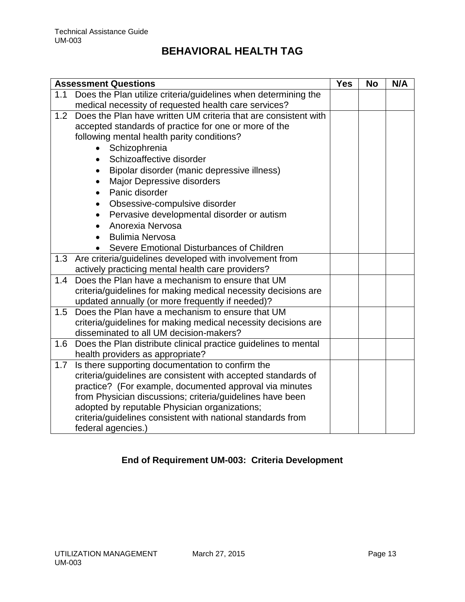|     | <b>Assessment Questions</b>                                                       | <b>Yes</b> | <b>No</b> | N/A |
|-----|-----------------------------------------------------------------------------------|------------|-----------|-----|
| 1.1 | Does the Plan utilize criteria/guidelines when determining the                    |            |           |     |
|     | medical necessity of requested health care services?                              |            |           |     |
| 1.2 | Does the Plan have written UM criteria that are consistent with                   |            |           |     |
|     | accepted standards of practice for one or more of the                             |            |           |     |
|     | following mental health parity conditions?                                        |            |           |     |
|     | Schizophrenia                                                                     |            |           |     |
|     | Schizoaffective disorder                                                          |            |           |     |
|     | Bipolar disorder (manic depressive illness)<br>$\bullet$                          |            |           |     |
|     | <b>Major Depressive disorders</b>                                                 |            |           |     |
|     | Panic disorder<br>$\bullet$                                                       |            |           |     |
|     | Obsessive-compulsive disorder<br>$\bullet$                                        |            |           |     |
|     | Pervasive developmental disorder or autism                                        |            |           |     |
|     | Anorexia Nervosa                                                                  |            |           |     |
|     | <b>Bulimia Nervosa</b>                                                            |            |           |     |
|     | Severe Emotional Disturbances of Children                                         |            |           |     |
|     | 1.3 Are criteria/guidelines developed with involvement from                       |            |           |     |
|     | actively practicing mental health care providers?                                 |            |           |     |
| 1.4 | Does the Plan have a mechanism to ensure that UM                                  |            |           |     |
|     | criteria/guidelines for making medical necessity decisions are                    |            |           |     |
|     | updated annually (or more frequently if needed)?                                  |            |           |     |
| 1.5 | Does the Plan have a mechanism to ensure that UM                                  |            |           |     |
|     | criteria/guidelines for making medical necessity decisions are                    |            |           |     |
|     | disseminated to all UM decision-makers?                                           |            |           |     |
|     | 1.6 Does the Plan distribute clinical practice guidelines to mental               |            |           |     |
|     | health providers as appropriate?                                                  |            |           |     |
| 1.7 | Is there supporting documentation to confirm the                                  |            |           |     |
|     | criteria/guidelines are consistent with accepted standards of                     |            |           |     |
|     | practice? (For example, documented approval via minutes                           |            |           |     |
|     | from Physician discussions; criteria/guidelines have been                         |            |           |     |
|     | adopted by reputable Physician organizations;                                     |            |           |     |
|     |                                                                                   |            |           |     |
|     | criteria/guidelines consistent with national standards from<br>federal agencies.) |            |           |     |

# **End of Requirement UM-003: Criteria Development**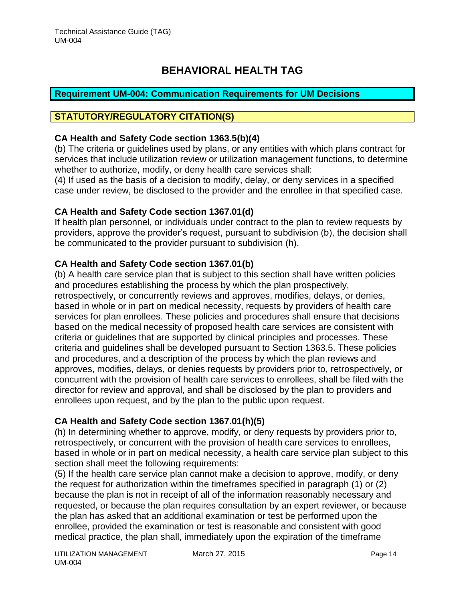### <span id="page-14-0"></span>**Requirement UM-004: Communication Requirements for UM Decisions**

## **STATUTORY/REGULATORY CITATION(S)**

### **CA Health and Safety Code section 1363.5(b)(4)**

(b) The criteria or guidelines used by plans, or any entities with which plans contract for services that include utilization review or utilization management functions, to determine whether to authorize, modify, or deny health care services shall:

(4) If used as the basis of a decision to modify, delay, or deny services in a specified case under review, be disclosed to the provider and the enrollee in that specified case.

### **CA Health and Safety Code section 1367.01(d)**

If health plan personnel, or individuals under contract to the plan to review requests by providers, approve the provider's request, pursuant to subdivision (b), the decision shall be communicated to the provider pursuant to subdivision (h).

### **CA Health and Safety Code section 1367.01(b)**

(b) A health care service plan that is subject to this section shall have written policies and procedures establishing the process by which the plan prospectively, retrospectively, or concurrently reviews and approves, modifies, delays, or denies, based in whole or in part on medical necessity, requests by providers of health care services for plan enrollees. These policies and procedures shall ensure that decisions based on the medical necessity of proposed health care services are consistent with criteria or guidelines that are supported by clinical principles and processes. These criteria and guidelines shall be developed pursuant to Section 1363.5. These policies and procedures, and a description of the process by which the plan reviews and approves, modifies, delays, or denies requests by providers prior to, retrospectively, or concurrent with the provision of health care services to enrollees, shall be filed with the director for review and approval, and shall be disclosed by the plan to providers and enrollees upon request, and by the plan to the public upon request.

### **CA Health and Safety Code section 1367.01(h)(5)**

(h) In determining whether to approve, modify, or deny requests by providers prior to, retrospectively, or concurrent with the provision of health care services to enrollees, based in whole or in part on medical necessity, a health care service plan subject to this section shall meet the following requirements:

(5) If the health care service plan cannot make a decision to approve, modify, or deny the request for authorization within the timeframes specified in paragraph (1) or (2) because the plan is not in receipt of all of the information reasonably necessary and requested, or because the plan requires consultation by an expert reviewer, or because the plan has asked that an additional examination or test be performed upon the enrollee, provided the examination or test is reasonable and consistent with good medical practice, the plan shall, immediately upon the expiration of the timeframe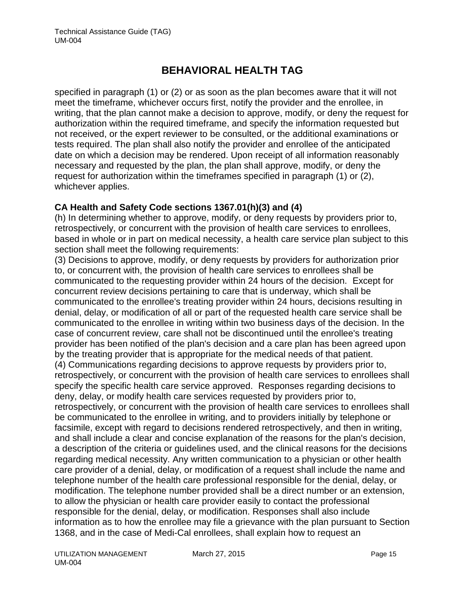specified in paragraph (1) or (2) or as soon as the plan becomes aware that it will not meet the timeframe, whichever occurs first, notify the provider and the enrollee, in writing, that the plan cannot make a decision to approve, modify, or deny the request for authorization within the required timeframe, and specify the information requested but not received, or the expert reviewer to be consulted, or the additional examinations or tests required. The plan shall also notify the provider and enrollee of the anticipated date on which a decision may be rendered. Upon receipt of all information reasonably necessary and requested by the plan, the plan shall approve, modify, or deny the request for authorization within the timeframes specified in paragraph (1) or (2), whichever applies.

## **CA Health and Safety Code sections 1367.01(h)(3) and (4)**

(h) In determining whether to approve, modify, or deny requests by providers prior to, retrospectively, or concurrent with the provision of health care services to enrollees, based in whole or in part on medical necessity, a health care service plan subject to this section shall meet the following requirements:

(3) Decisions to approve, modify, or deny requests by providers for authorization prior to, or concurrent with, the provision of health care services to enrollees shall be communicated to the requesting provider within 24 hours of the decision. Except for concurrent review decisions pertaining to care that is underway, which shall be communicated to the enrollee's treating provider within 24 hours, decisions resulting in denial, delay, or modification of all or part of the requested health care service shall be communicated to the enrollee in writing within two business days of the decision. In the case of concurrent review, care shall not be discontinued until the enrollee's treating provider has been notified of the plan's decision and a care plan has been agreed upon by the treating provider that is appropriate for the medical needs of that patient. (4) Communications regarding decisions to approve requests by providers prior to, retrospectively, or concurrent with the provision of health care services to enrollees shall specify the specific health care service approved. Responses regarding decisions to deny, delay, or modify health care services requested by providers prior to, retrospectively, or concurrent with the provision of health care services to enrollees shall be communicated to the enrollee in writing, and to providers initially by telephone or facsimile, except with regard to decisions rendered retrospectively, and then in writing, and shall include a clear and concise explanation of the reasons for the plan's decision, a description of the criteria or guidelines used, and the clinical reasons for the decisions regarding medical necessity. Any written communication to a physician or other health care provider of a denial, delay, or modification of a request shall include the name and telephone number of the health care professional responsible for the denial, delay, or modification. The telephone number provided shall be a direct number or an extension, to allow the physician or health care provider easily to contact the professional responsible for the denial, delay, or modification. Responses shall also include information as to how the enrollee may file a grievance with the plan pursuant to Section 1368, and in the case of Medi-Cal enrollees, shall explain how to request an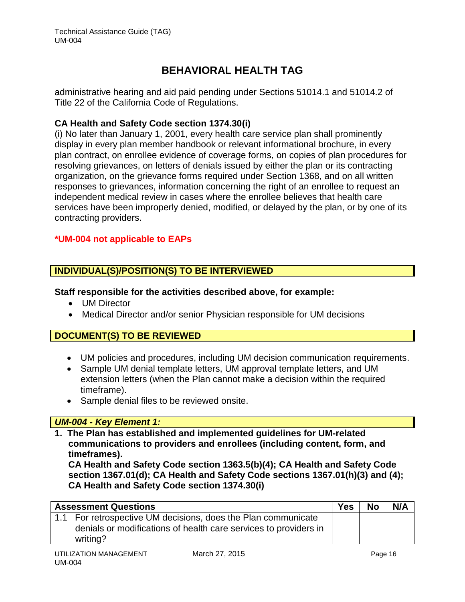administrative hearing and aid paid pending under Sections 51014.1 and 51014.2 of Title 22 of the California Code of Regulations.

## **CA Health and Safety Code section 1374.30(i)**

(i) No later than January 1, 2001, every health care service plan shall prominently display in every plan member handbook or relevant informational brochure, in every plan contract, on enrollee evidence of coverage forms, on copies of plan procedures for resolving grievances, on letters of denials issued by either the plan or its contracting organization, on the grievance forms required under Section 1368, and on all written responses to grievances, information concerning the right of an enrollee to request an independent medical review in cases where the enrollee believes that health care services have been improperly denied, modified, or delayed by the plan, or by one of its contracting providers.

## **\*UM-004 not applicable to EAPs**

# **INDIVIDUAL(S)/POSITION(S) TO BE INTERVIEWED**

## **Staff responsible for the activities described above, for example:**

- UM Director
- Medical Director and/or senior Physician responsible for UM decisions

# **DOCUMENT(S) TO BE REVIEWED**

- UM policies and procedures, including UM decision communication requirements.
- Sample UM denial template letters, UM approval template letters, and UM extension letters (when the Plan cannot make a decision within the required timeframe).
- Sample denial files to be reviewed onsite.

## *UM-004 - Key Element 1:*

**1. The Plan has established and implemented guidelines for UM-related communications to providers and enrollees (including content, form, and timeframes).** 

**CA Health and Safety Code section 1363.5(b)(4); CA Health and Safety Code section 1367.01(d); CA Health and Safety Code sections 1367.01(h)(3) and (4); CA Health and Safety Code section 1374.30(i)**

| <b>Assessment Questions</b> |                                                                                                                                               | <b>Yes</b> | <b>No</b> | N/A |
|-----------------------------|-----------------------------------------------------------------------------------------------------------------------------------------------|------------|-----------|-----|
|                             | 1.1 For retrospective UM decisions, does the Plan communicate<br>denials or modifications of health care services to providers in<br>writing? |            |           |     |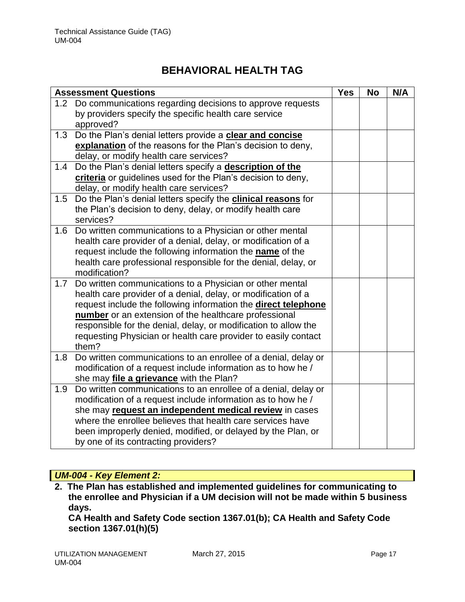|     | <b>Assessment Questions</b>                                                                                                 | <b>Yes</b> | <b>No</b> | N/A |
|-----|-----------------------------------------------------------------------------------------------------------------------------|------------|-----------|-----|
| 1.2 | Do communications regarding decisions to approve requests                                                                   |            |           |     |
|     | by providers specify the specific health care service                                                                       |            |           |     |
|     | approved?                                                                                                                   |            |           |     |
| 1.3 | Do the Plan's denial letters provide a clear and concise                                                                    |            |           |     |
|     | explanation of the reasons for the Plan's decision to deny,                                                                 |            |           |     |
|     | delay, or modify health care services?                                                                                      |            |           |     |
| 1.4 | Do the Plan's denial letters specify a description of the                                                                   |            |           |     |
|     | criteria or guidelines used for the Plan's decision to deny,                                                                |            |           |     |
|     | delay, or modify health care services?                                                                                      |            |           |     |
| 1.5 | Do the Plan's denial letters specify the <b>clinical reasons</b> for                                                        |            |           |     |
|     | the Plan's decision to deny, delay, or modify health care                                                                   |            |           |     |
|     | services?                                                                                                                   |            |           |     |
| 1.6 | Do written communications to a Physician or other mental                                                                    |            |           |     |
|     | health care provider of a denial, delay, or modification of a                                                               |            |           |     |
|     | request include the following information the name of the<br>health care professional responsible for the denial, delay, or |            |           |     |
|     | modification?                                                                                                               |            |           |     |
| 1.7 | Do written communications to a Physician or other mental                                                                    |            |           |     |
|     | health care provider of a denial, delay, or modification of a                                                               |            |           |     |
|     | request include the following information the direct telephone                                                              |            |           |     |
|     | number or an extension of the healthcare professional                                                                       |            |           |     |
|     | responsible for the denial, delay, or modification to allow the                                                             |            |           |     |
|     | requesting Physician or health care provider to easily contact                                                              |            |           |     |
|     | them?                                                                                                                       |            |           |     |
| 1.8 | Do written communications to an enrollee of a denial, delay or                                                              |            |           |     |
|     | modification of a request include information as to how he /                                                                |            |           |     |
|     | she may file a grievance with the Plan?                                                                                     |            |           |     |
| 1.9 | Do written communications to an enrollee of a denial, delay or                                                              |            |           |     |
|     | modification of a request include information as to how he /                                                                |            |           |     |
|     | she may request an independent medical review in cases                                                                      |            |           |     |
|     | where the enrollee believes that health care services have                                                                  |            |           |     |
|     | been improperly denied, modified, or delayed by the Plan, or                                                                |            |           |     |
|     | by one of its contracting providers?                                                                                        |            |           |     |

# *UM-004 - Key Element 2:*

**2. The Plan has established and implemented guidelines for communicating to the enrollee and Physician if a UM decision will not be made within 5 business days.** 

**CA Health and Safety Code section 1367.01(b); CA Health and Safety Code section 1367.01(h)(5)**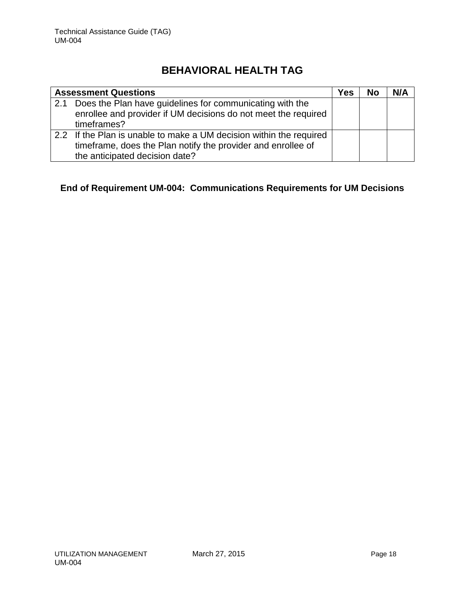|     | <b>Assessment Questions</b>                                                                                                                                           | Yes | <b>No</b> | N/A |
|-----|-----------------------------------------------------------------------------------------------------------------------------------------------------------------------|-----|-----------|-----|
| 2.1 | Does the Plan have guidelines for communicating with the<br>enrollee and provider if UM decisions do not meet the required                                            |     |           |     |
|     | timeframes?                                                                                                                                                           |     |           |     |
|     | 2.2 If the Plan is unable to make a UM decision within the required<br>timeframe, does the Plan notify the provider and enrollee of<br>the anticipated decision date? |     |           |     |

# **End of Requirement UM-004: Communications Requirements for UM Decisions**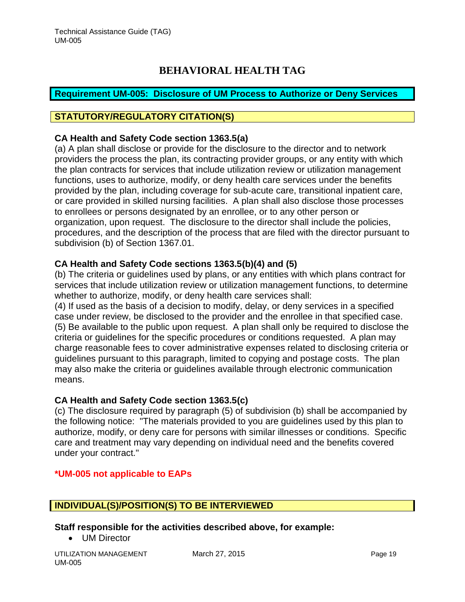## <span id="page-19-0"></span>**Requirement UM-005: Disclosure of UM Process to Authorize or Deny Services**

## **STATUTORY/REGULATORY CITATION(S)**

### **CA Health and Safety Code section 1363.5(a)**

(a) A plan shall disclose or provide for the disclosure to the director and to network providers the process the plan, its contracting provider groups, or any entity with which the plan contracts for services that include utilization review or utilization management functions, uses to authorize, modify, or deny health care services under the benefits provided by the plan, including coverage for sub-acute care, transitional inpatient care, or care provided in skilled nursing facilities. A plan shall also disclose those processes to enrollees or persons designated by an enrollee, or to any other person or organization, upon request. The disclosure to the director shall include the policies, procedures, and the description of the process that are filed with the director pursuant to subdivision (b) of Section 1367.01.

## **CA Health and Safety Code sections 1363.5(b)(4) and (5)**

(b) The criteria or guidelines used by plans, or any entities with which plans contract for services that include utilization review or utilization management functions, to determine whether to authorize, modify, or deny health care services shall:

(4) If used as the basis of a decision to modify, delay, or deny services in a specified case under review, be disclosed to the provider and the enrollee in that specified case. (5) Be available to the public upon request. A plan shall only be required to disclose the criteria or guidelines for the specific procedures or conditions requested. A plan may charge reasonable fees to cover administrative expenses related to disclosing criteria or guidelines pursuant to this paragraph, limited to copying and postage costs. The plan may also make the criteria or guidelines available through electronic communication means.

## **CA Health and Safety Code section 1363.5(c)**

(c) The disclosure required by paragraph (5) of subdivision (b) shall be accompanied by the following notice: "The materials provided to you are guidelines used by this plan to authorize, modify, or deny care for persons with similar illnesses or conditions. Specific care and treatment may vary depending on individual need and the benefits covered under your contract."

## **\*UM-005 not applicable to EAPs**

## **INDIVIDUAL(S)/POSITION(S) TO BE INTERVIEWED**

**Staff responsible for the activities described above, for example:**

• UM Director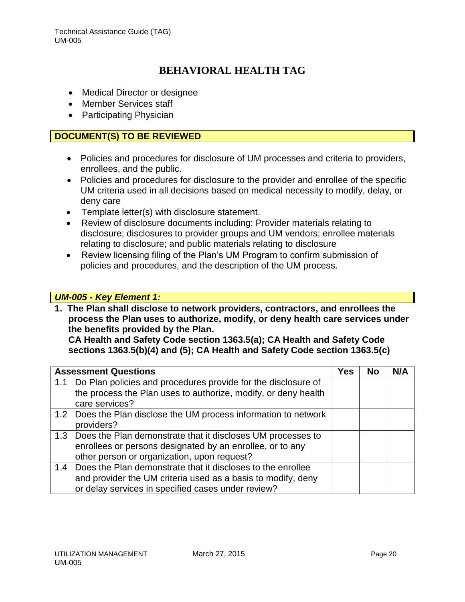- Medical Director or designee
- Member Services staff
- Participating Physician

## **DOCUMENT(S) TO BE REVIEWED**

- Policies and procedures for disclosure of UM processes and criteria to providers, enrollees, and the public.
- Policies and procedures for disclosure to the provider and enrollee of the specific UM criteria used in all decisions based on medical necessity to modify, delay, or deny care
- Template letter(s) with disclosure statement.
- Review of disclosure documents including: Provider materials relating to disclosure; disclosures to provider groups and UM vendors; enrollee materials relating to disclosure; and public materials relating to disclosure
- Review licensing filing of the Plan's UM Program to confirm submission of policies and procedures, and the description of the UM process.

## *UM-005 - Key Element 1:*

**1. The Plan shall disclose to network providers, contractors, and enrollees the process the Plan uses to authorize, modify, or deny health care services under the benefits provided by the Plan.** 

**CA Health and Safety Code section 1363.5(a); CA Health and Safety Code sections 1363.5(b)(4) and (5); CA Health and Safety Code section 1363.5(c)**

| <b>Assessment Questions</b>                                       | <b>Yes</b> | <b>No</b> | N/A |
|-------------------------------------------------------------------|------------|-----------|-----|
| 1.1 Do Plan policies and procedures provide for the disclosure of |            |           |     |
| the process the Plan uses to authorize, modify, or deny health    |            |           |     |
| care services?                                                    |            |           |     |
| 1.2 Does the Plan disclose the UM process information to network  |            |           |     |
| providers?                                                        |            |           |     |
| 1.3 Does the Plan demonstrate that it discloses UM processes to   |            |           |     |
| enrollees or persons designated by an enrollee, or to any         |            |           |     |
| other person or organization, upon request?                       |            |           |     |
| 1.4 Does the Plan demonstrate that it discloses to the enrollee   |            |           |     |
| and provider the UM criteria used as a basis to modify, deny      |            |           |     |
| or delay services in specified cases under review?                |            |           |     |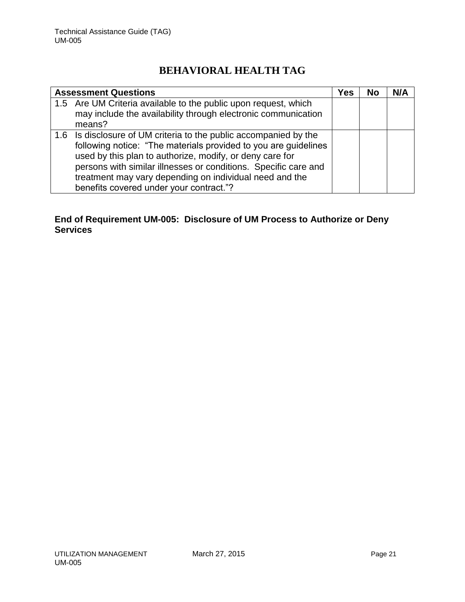| <b>Assessment Questions</b>                                                                                                                                                                                                                                                                                                                                               | Yes | <b>No</b> | N/A |
|---------------------------------------------------------------------------------------------------------------------------------------------------------------------------------------------------------------------------------------------------------------------------------------------------------------------------------------------------------------------------|-----|-----------|-----|
| 1.5 Are UM Criteria available to the public upon request, which<br>may include the availability through electronic communication<br>means?                                                                                                                                                                                                                                |     |           |     |
| 1.6 Is disclosure of UM criteria to the public accompanied by the<br>following notice: "The materials provided to you are guidelines<br>used by this plan to authorize, modify, or deny care for<br>persons with similar illnesses or conditions. Specific care and<br>treatment may vary depending on individual need and the<br>benefits covered under your contract."? |     |           |     |

# **End of Requirement UM-005: Disclosure of UM Process to Authorize or Deny Services**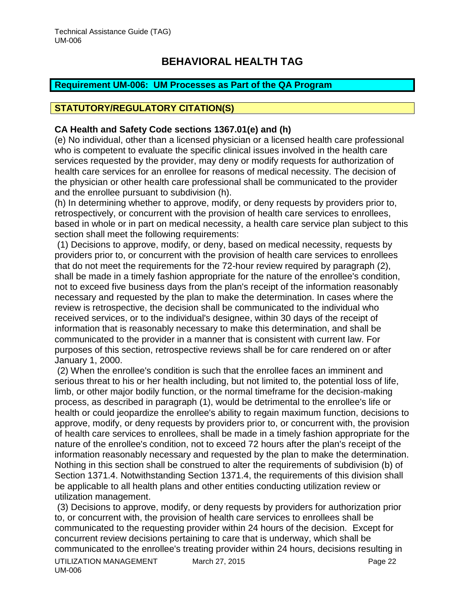## <span id="page-22-0"></span>**Requirement UM-006: UM Processes as Part of the QA Program**

# **STATUTORY/REGULATORY CITATION(S)**

### **CA Health and Safety Code sections 1367.01(e) and (h)**

(e) No individual, other than a licensed physician or a licensed health care professional who is competent to evaluate the specific clinical issues involved in the health care services requested by the provider, may deny or modify requests for authorization of health care services for an enrollee for reasons of medical necessity. The decision of the physician or other health care professional shall be communicated to the provider and the enrollee pursuant to subdivision (h).

(h) In determining whether to approve, modify, or deny requests by providers prior to, retrospectively, or concurrent with the provision of health care services to enrollees, based in whole or in part on medical necessity, a health care service plan subject to this section shall meet the following requirements:

(1) Decisions to approve, modify, or deny, based on medical necessity, requests by providers prior to, or concurrent with the provision of health care services to enrollees that do not meet the requirements for the 72-hour review required by paragraph (2), shall be made in a timely fashion appropriate for the nature of the enrollee's condition, not to exceed five business days from the plan's receipt of the information reasonably necessary and requested by the plan to make the determination. In cases where the review is retrospective, the decision shall be communicated to the individual who received services, or to the individual's designee, within 30 days of the receipt of information that is reasonably necessary to make this determination, and shall be communicated to the provider in a manner that is consistent with current law. For purposes of this section, retrospective reviews shall be for care rendered on or after January 1, 2000.

(2) When the enrollee's condition is such that the enrollee faces an imminent and serious threat to his or her health including, but not limited to, the potential loss of life, limb, or other major bodily function, or the normal timeframe for the decision-making process, as described in paragraph (1), would be detrimental to the enrollee's life or health or could jeopardize the enrollee's ability to regain maximum function, decisions to approve, modify, or deny requests by providers prior to, or concurrent with, the provision of health care services to enrollees, shall be made in a timely fashion appropriate for the nature of the enrollee's condition, not to exceed 72 hours after the plan's receipt of the information reasonably necessary and requested by the plan to make the determination. Nothing in this section shall be construed to alter the requirements of subdivision (b) of Section 1371.4. Notwithstanding Section 1371.4, the requirements of this division shall be applicable to all health plans and other entities conducting utilization review or utilization management.

UTILIZATION MANAGEMENT March 27, 2015 March 2015 UM-006 (3) Decisions to approve, modify, or deny requests by providers for authorization prior to, or concurrent with, the provision of health care services to enrollees shall be communicated to the requesting provider within 24 hours of the decision. Except for concurrent review decisions pertaining to care that is underway, which shall be communicated to the enrollee's treating provider within 24 hours, decisions resulting in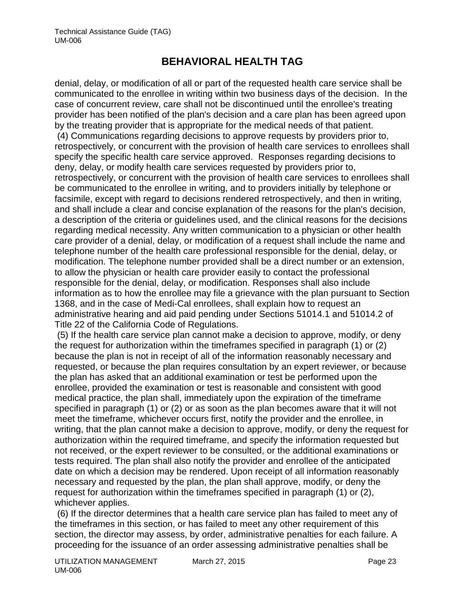denial, delay, or modification of all or part of the requested health care service shall be communicated to the enrollee in writing within two business days of the decision. In the case of concurrent review, care shall not be discontinued until the enrollee's treating provider has been notified of the plan's decision and a care plan has been agreed upon by the treating provider that is appropriate for the medical needs of that patient. (4) Communications regarding decisions to approve requests by providers prior to, retrospectively, or concurrent with the provision of health care services to enrollees shall specify the specific health care service approved. Responses regarding decisions to deny, delay, or modify health care services requested by providers prior to, retrospectively, or concurrent with the provision of health care services to enrollees shall be communicated to the enrollee in writing, and to providers initially by telephone or facsimile, except with regard to decisions rendered retrospectively, and then in writing, and shall include a clear and concise explanation of the reasons for the plan's decision, a description of the criteria or guidelines used, and the clinical reasons for the decisions regarding medical necessity. Any written communication to a physician or other health care provider of a denial, delay, or modification of a request shall include the name and telephone number of the health care professional responsible for the denial, delay, or modification. The telephone number provided shall be a direct number or an extension, to allow the physician or health care provider easily to contact the professional responsible for the denial, delay, or modification. Responses shall also include information as to how the enrollee may file a grievance with the plan pursuant to Section 1368, and in the case of Medi-Cal enrollees, shall explain how to request an administrative hearing and aid paid pending under Sections 51014.1 and 51014.2 of Title 22 of the California Code of Regulations.

(5) If the health care service plan cannot make a decision to approve, modify, or deny the request for authorization within the timeframes specified in paragraph (1) or (2) because the plan is not in receipt of all of the information reasonably necessary and requested, or because the plan requires consultation by an expert reviewer, or because the plan has asked that an additional examination or test be performed upon the enrollee, provided the examination or test is reasonable and consistent with good medical practice, the plan shall, immediately upon the expiration of the timeframe specified in paragraph (1) or (2) or as soon as the plan becomes aware that it will not meet the timeframe, whichever occurs first, notify the provider and the enrollee, in writing, that the plan cannot make a decision to approve, modify, or deny the request for authorization within the required timeframe, and specify the information requested but not received, or the expert reviewer to be consulted, or the additional examinations or tests required. The plan shall also notify the provider and enrollee of the anticipated date on which a decision may be rendered. Upon receipt of all information reasonably necessary and requested by the plan, the plan shall approve, modify, or deny the request for authorization within the timeframes specified in paragraph (1) or (2), whichever applies.

(6) If the director determines that a health care service plan has failed to meet any of the timeframes in this section, or has failed to meet any other requirement of this section, the director may assess, by order, administrative penalties for each failure. A proceeding for the issuance of an order assessing administrative penalties shall be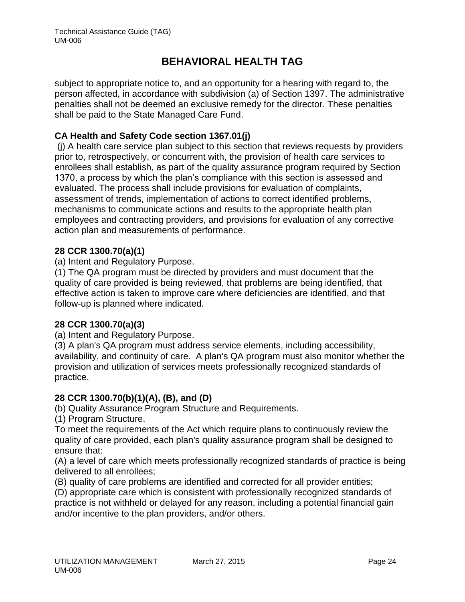subject to appropriate notice to, and an opportunity for a hearing with regard to, the person affected, in accordance with subdivision (a) of Section 1397. The administrative penalties shall not be deemed an exclusive remedy for the director. These penalties shall be paid to the State Managed Care Fund.

## **CA Health and Safety Code section 1367.01(j)**

(j) A health care service plan subject to this section that reviews requests by providers prior to, retrospectively, or concurrent with, the provision of health care services to enrollees shall establish, as part of the quality assurance program required by Section 1370, a process by which the plan's compliance with this section is assessed and evaluated. The process shall include provisions for evaluation of complaints, assessment of trends, implementation of actions to correct identified problems, mechanisms to communicate actions and results to the appropriate health plan employees and contracting providers, and provisions for evaluation of any corrective action plan and measurements of performance.

## **28 CCR 1300.70(a)(1)**

(a) Intent and Regulatory Purpose.

(1) The QA program must be directed by providers and must document that the quality of care provided is being reviewed, that problems are being identified, that effective action is taken to improve care where deficiencies are identified, and that follow-up is planned where indicated.

## **28 CCR 1300.70(a)(3)**

(a) Intent and Regulatory Purpose.

(3) A plan's QA program must address service elements, including accessibility, availability, and continuity of care. A plan's QA program must also monitor whether the provision and utilization of services meets professionally recognized standards of practice.

## **28 CCR 1300.70(b)(1)(A), (B), and (D)**

(b) Quality Assurance Program Structure and Requirements.

(1) Program Structure.

To meet the requirements of the Act which require plans to continuously review the quality of care provided, each plan's quality assurance program shall be designed to ensure that:

(A) a level of care which meets professionally recognized standards of practice is being delivered to all enrollees;

(B) quality of care problems are identified and corrected for all provider entities;

(D) appropriate care which is consistent with professionally recognized standards of practice is not withheld or delayed for any reason, including a potential financial gain and/or incentive to the plan providers, and/or others.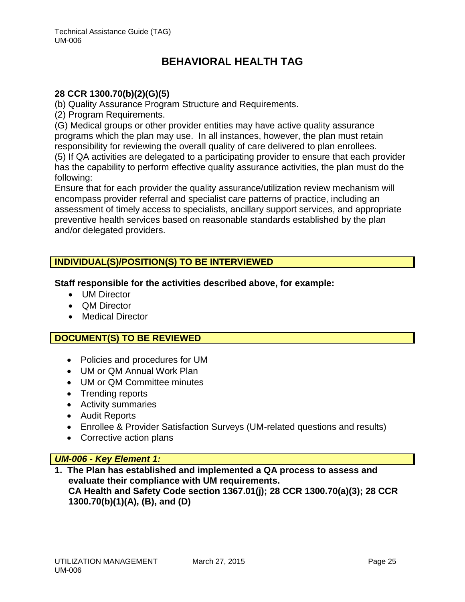### **28 CCR 1300.70(b)(2)(G)(5)**

(b) Quality Assurance Program Structure and Requirements.

(2) Program Requirements.

(G) Medical groups or other provider entities may have active quality assurance programs which the plan may use. In all instances, however, the plan must retain responsibility for reviewing the overall quality of care delivered to plan enrollees.

(5) If QA activities are delegated to a participating provider to ensure that each provider has the capability to perform effective quality assurance activities, the plan must do the following:

Ensure that for each provider the quality assurance/utilization review mechanism will encompass provider referral and specialist care patterns of practice, including an assessment of timely access to specialists, ancillary support services, and appropriate preventive health services based on reasonable standards established by the plan and/or delegated providers.

## **INDIVIDUAL(S)/POSITION(S) TO BE INTERVIEWED**

**Staff responsible for the activities described above, for example:**

- UM Director
- QM Director
- Medical Director

## **DOCUMENT(S) TO BE REVIEWED**

- Policies and procedures for UM
- UM or QM Annual Work Plan
- UM or QM Committee minutes
- Trending reports
- Activity summaries
- Audit Reports
- Enrollee & Provider Satisfaction Surveys (UM-related questions and results)
- Corrective action plans

### *UM-006 - Key Element 1:*

**1. The Plan has established and implemented a QA process to assess and evaluate their compliance with UM requirements. CA Health and Safety Code section 1367.01(j); 28 CCR 1300.70(a)(3); 28 CCR 1300.70(b)(1)(A), (B), and (D)**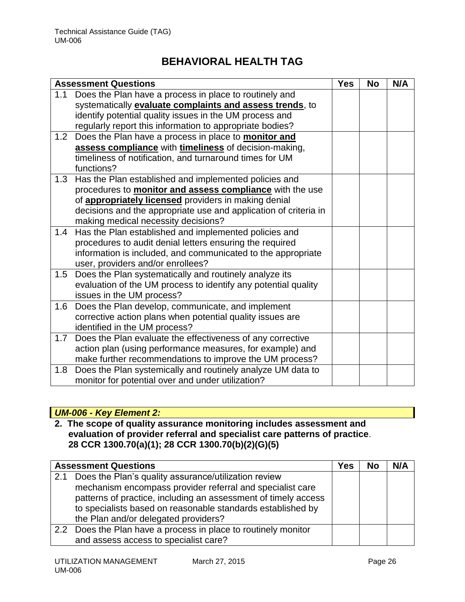| <b>Assessment Questions</b>                                                     | <b>Yes</b> | <b>No</b> | N/A |
|---------------------------------------------------------------------------------|------------|-----------|-----|
| Does the Plan have a process in place to routinely and<br>1.1                   |            |           |     |
| systematically <b>evaluate complaints and assess trends</b> , to                |            |           |     |
| identify potential quality issues in the UM process and                         |            |           |     |
| regularly report this information to appropriate bodies?                        |            |           |     |
| Does the Plan have a process in place to <b>monitor and</b><br>1.2 <sub>2</sub> |            |           |     |
| assess compliance with timeliness of decision-making,                           |            |           |     |
| timeliness of notification, and turnaround times for UM                         |            |           |     |
| functions?                                                                      |            |           |     |
| 1.3<br>Has the Plan established and implemented policies and                    |            |           |     |
| procedures to <b>monitor and assess compliance</b> with the use                 |            |           |     |
| of appropriately licensed providers in making denial                            |            |           |     |
| decisions and the appropriate use and application of criteria in                |            |           |     |
| making medical necessity decisions?                                             |            |           |     |
| Has the Plan established and implemented policies and<br>1.4                    |            |           |     |
| procedures to audit denial letters ensuring the required                        |            |           |     |
| information is included, and communicated to the appropriate                    |            |           |     |
| user, providers and/or enrollees?                                               |            |           |     |
| Does the Plan systematically and routinely analyze its<br>1.5                   |            |           |     |
| evaluation of the UM process to identify any potential quality                  |            |           |     |
| issues in the UM process?                                                       |            |           |     |
| Does the Plan develop, communicate, and implement<br>1.6                        |            |           |     |
| corrective action plans when potential quality issues are                       |            |           |     |
| identified in the UM process?                                                   |            |           |     |
| 1.7<br>Does the Plan evaluate the effectiveness of any corrective               |            |           |     |
| action plan (using performance measures, for example) and                       |            |           |     |
| make further recommendations to improve the UM process?                         |            |           |     |
| Does the Plan systemically and routinely analyze UM data to<br>1.8              |            |           |     |
| monitor for potential over and under utilization?                               |            |           |     |

## *UM-006 - Key Element 2:*

**2. The scope of quality assurance monitoring includes assessment and evaluation of provider referral and specialist care patterns of practice**. **28 CCR 1300.70(a)(1); 28 CCR 1300.70(b)(2)(G)(5)**

|     | <b>Assessment Questions</b>                                                                                                                                                                                                                                                                | Yes | <b>No</b> | N/A |
|-----|--------------------------------------------------------------------------------------------------------------------------------------------------------------------------------------------------------------------------------------------------------------------------------------------|-----|-----------|-----|
| 2.1 | Does the Plan's quality assurance/utilization review<br>mechanism encompass provider referral and specialist care<br>patterns of practice, including an assessment of timely access<br>to specialists based on reasonable standards established by<br>the Plan and/or delegated providers? |     |           |     |
|     | 2.2 Does the Plan have a process in place to routinely monitor<br>and assess access to specialist care?                                                                                                                                                                                    |     |           |     |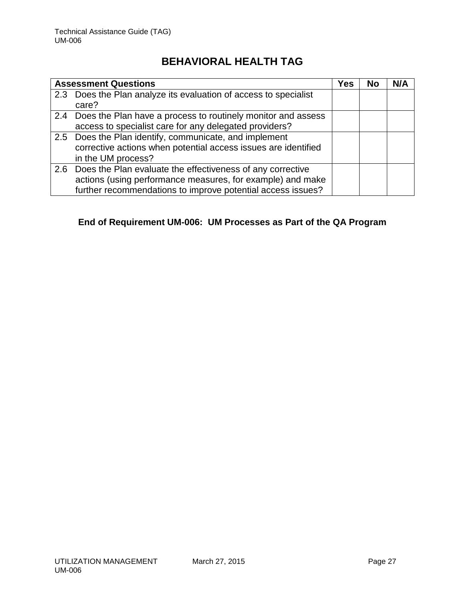| <b>Assessment Questions</b>                                      | Yes | No | N/A |
|------------------------------------------------------------------|-----|----|-----|
| 2.3 Does the Plan analyze its evaluation of access to specialist |     |    |     |
| care?                                                            |     |    |     |
| 2.4 Does the Plan have a process to routinely monitor and assess |     |    |     |
| access to specialist care for any delegated providers?           |     |    |     |
| 2.5 Does the Plan identify, communicate, and implement           |     |    |     |
| corrective actions when potential access issues are identified   |     |    |     |
| in the UM process?                                               |     |    |     |
| 2.6 Does the Plan evaluate the effectiveness of any corrective   |     |    |     |
| actions (using performance measures, for example) and make       |     |    |     |
| further recommendations to improve potential access issues?      |     |    |     |

# **End of Requirement UM-006: UM Processes as Part of the QA Program**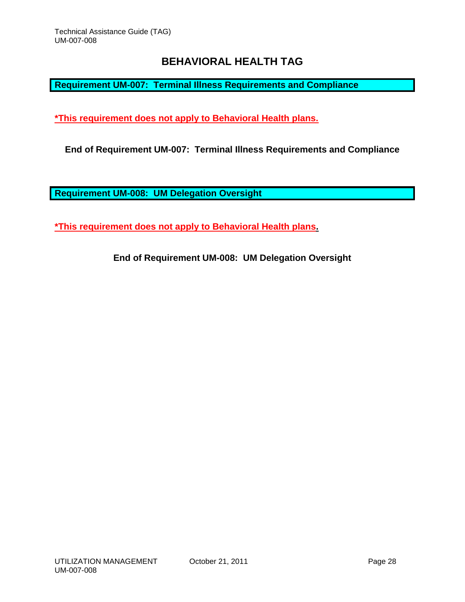<span id="page-28-0"></span>**Requirement UM-007: Terminal Illness Requirements and Compliance**

**\*This requirement does not apply to Behavioral Health plans.** 

**End of Requirement UM-007: Terminal Illness Requirements and Compliance**

<span id="page-28-1"></span>**Requirement UM-008: UM Delegation Oversight**

**\*This requirement does not apply to Behavioral Health plans.** 

**End of Requirement UM-008: UM Delegation Oversight**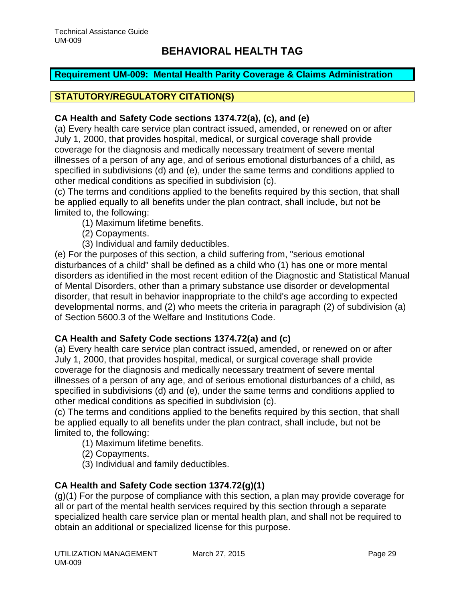## <span id="page-29-0"></span>**Requirement UM-009: Mental Health Parity Coverage & Claims Administration**

# **STATUTORY/REGULATORY CITATION(S)**

## **CA Health and Safety Code sections 1374.72(a), (c), and (e)**

(a) Every health care service plan contract issued, amended, or renewed on or after July 1, 2000, that provides hospital, medical, or surgical coverage shall provide coverage for the diagnosis and medically necessary treatment of severe mental illnesses of a person of any age, and of serious emotional disturbances of a child, as specified in subdivisions (d) and (e), under the same terms and conditions applied to other medical conditions as specified in subdivision (c).

(c) The terms and conditions applied to the benefits required by this section, that shall be applied equally to all benefits under the plan contract, shall include, but not be limited to, the following:

- (1) Maximum lifetime benefits.
- (2) Copayments.
- (3) Individual and family deductibles.

(e) For the purposes of this section, a child suffering from, "serious emotional disturbances of a child" shall be defined as a child who (1) has one or more mental disorders as identified in the most recent edition of the Diagnostic and Statistical Manual of Mental Disorders, other than a primary substance use disorder or developmental disorder, that result in behavior inappropriate to the child's age according to expected developmental norms, and (2) who meets the criteria in paragraph (2) of subdivision (a) of Section 5600.3 of the Welfare and Institutions Code.

## **CA Health and Safety Code sections 1374.72(a) and (c)**

(a) Every health care service plan contract issued, amended, or renewed on or after July 1, 2000, that provides hospital, medical, or surgical coverage shall provide coverage for the diagnosis and medically necessary treatment of severe mental illnesses of a person of any age, and of serious emotional disturbances of a child, as specified in subdivisions (d) and (e), under the same terms and conditions applied to other medical conditions as specified in subdivision (c).

(c) The terms and conditions applied to the benefits required by this section, that shall be applied equally to all benefits under the plan contract, shall include, but not be limited to, the following:

- (1) Maximum lifetime benefits.
- (2) Copayments.
- (3) Individual and family deductibles.

## **CA Health and Safety Code section 1374.72(g)(1)**

(g)(1) For the purpose of compliance with this section, a plan may provide coverage for all or part of the mental health services required by this section through a separate specialized health care service plan or mental health plan, and shall not be required to obtain an additional or specialized license for this purpose.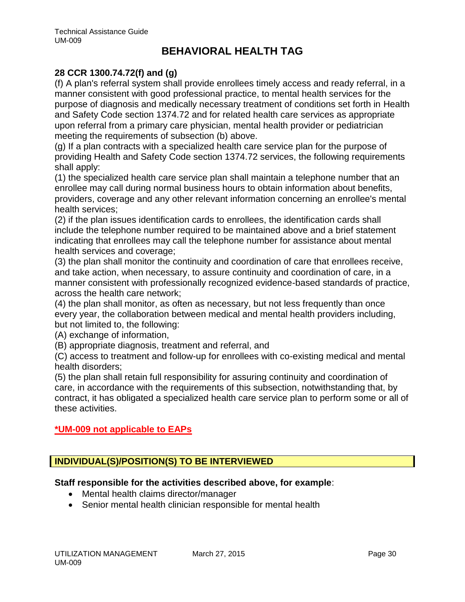## **28 CCR 1300.74.72(f) and (g)**

(f) A plan's referral system shall provide enrollees timely access and ready referral, in a manner consistent with good professional practice, to mental health services for the purpose of diagnosis and medically necessary treatment of conditions set forth in Health and Safety Code section 1374.72 and for related health care services as appropriate upon referral from a primary care physician, mental health provider or pediatrician meeting the requirements of subsection (b) above.

(g) If a plan contracts with a specialized health care service plan for the purpose of providing Health and Safety Code section 1374.72 services, the following requirements shall apply:

(1) the specialized health care service plan shall maintain a telephone number that an enrollee may call during normal business hours to obtain information about benefits, providers, coverage and any other relevant information concerning an enrollee's mental health services;

(2) if the plan issues identification cards to enrollees, the identification cards shall include the telephone number required to be maintained above and a brief statement indicating that enrollees may call the telephone number for assistance about mental health services and coverage;

(3) the plan shall monitor the continuity and coordination of care that enrollees receive, and take action, when necessary, to assure continuity and coordination of care, in a manner consistent with professionally recognized evidence-based standards of practice, across the health care network;

(4) the plan shall monitor, as often as necessary, but not less frequently than once every year, the collaboration between medical and mental health providers including, but not limited to, the following:

(A) exchange of information,

(B) appropriate diagnosis, treatment and referral, and

(C) access to treatment and follow-up for enrollees with co-existing medical and mental health disorders;

(5) the plan shall retain full responsibility for assuring continuity and coordination of care, in accordance with the requirements of this subsection, notwithstanding that, by contract, it has obligated a specialized health care service plan to perform some or all of these activities.

# **\*UM-009 not applicable to EAPs**

# **INDIVIDUAL(S)/POSITION(S) TO BE INTERVIEWED**

## **Staff responsible for the activities described above, for example**:

- Mental health claims director/manager
- Senior mental health clinician responsible for mental health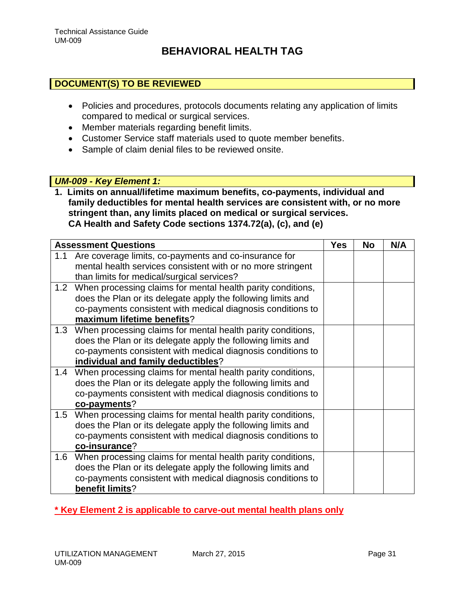## **DOCUMENT(S) TO BE REVIEWED**

- Policies and procedures, protocols documents relating any application of limits compared to medical or surgical services.
- Member materials regarding benefit limits.
- Customer Service staff materials used to quote member benefits.
- Sample of claim denial files to be reviewed onsite.

## *UM-009 - Key Element 1:*

**1. Limits on annual/lifetime maximum benefits, co-payments, individual and family deductibles for mental health services are consistent with, or no more stringent than, any limits placed on medical or surgical services. CA Health and Safety Code sections 1374.72(a), (c), and (e)**

|     | <b>Assessment Questions</b>                                     | <b>Yes</b> | <b>No</b> | N/A |
|-----|-----------------------------------------------------------------|------------|-----------|-----|
| 1.1 | Are coverage limits, co-payments and co-insurance for           |            |           |     |
|     | mental health services consistent with or no more stringent     |            |           |     |
|     | than limits for medical/surgical services?                      |            |           |     |
| 1.2 | When processing claims for mental health parity conditions,     |            |           |     |
|     | does the Plan or its delegate apply the following limits and    |            |           |     |
|     | co-payments consistent with medical diagnosis conditions to     |            |           |     |
|     | maximum lifetime benefits?                                      |            |           |     |
|     | 1.3 When processing claims for mental health parity conditions, |            |           |     |
|     | does the Plan or its delegate apply the following limits and    |            |           |     |
|     | co-payments consistent with medical diagnosis conditions to     |            |           |     |
|     | individual and family deductibles?                              |            |           |     |
| 1.4 | When processing claims for mental health parity conditions,     |            |           |     |
|     | does the Plan or its delegate apply the following limits and    |            |           |     |
|     | co-payments consistent with medical diagnosis conditions to     |            |           |     |
|     | co-payments?                                                    |            |           |     |
|     | 1.5 When processing claims for mental health parity conditions, |            |           |     |
|     | does the Plan or its delegate apply the following limits and    |            |           |     |
|     | co-payments consistent with medical diagnosis conditions to     |            |           |     |
|     | co-insurance?                                                   |            |           |     |
|     | 1.6 When processing claims for mental health parity conditions, |            |           |     |
|     | does the Plan or its delegate apply the following limits and    |            |           |     |
|     | co-payments consistent with medical diagnosis conditions to     |            |           |     |
|     | benefit limits?                                                 |            |           |     |

# **\* Key Element 2 is applicable to carve-out mental health plans only**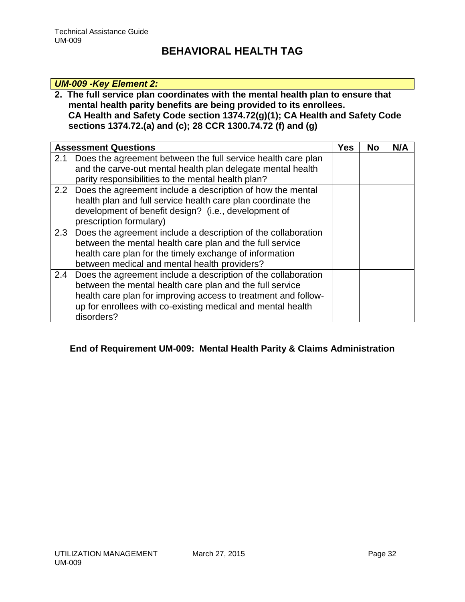## *UM-009 -Key Element 2:*

## **2. The full service plan coordinates with the mental health plan to ensure that mental health parity benefits are being provided to its enrollees. CA Health and Safety Code section 1374.72(g)(1); CA Health and Safety Code sections 1374.72.(a) and (c); 28 CCR 1300.74.72 (f) and (g)**

|     | <b>Assessment Questions</b>                                                                                                                                                                                                                                              | Yes | No | N/A |
|-----|--------------------------------------------------------------------------------------------------------------------------------------------------------------------------------------------------------------------------------------------------------------------------|-----|----|-----|
| 2.1 | Does the agreement between the full service health care plan<br>and the carve-out mental health plan delegate mental health<br>parity responsibilities to the mental health plan?                                                                                        |     |    |     |
| 2.2 | Does the agreement include a description of how the mental<br>health plan and full service health care plan coordinate the<br>development of benefit design? (i.e., development of<br>prescription formulary)                                                            |     |    |     |
| 2.3 | Does the agreement include a description of the collaboration<br>between the mental health care plan and the full service<br>health care plan for the timely exchange of information<br>between medical and mental health providers?                                     |     |    |     |
| 2.4 | Does the agreement include a description of the collaboration<br>between the mental health care plan and the full service<br>health care plan for improving access to treatment and follow-<br>up for enrollees with co-existing medical and mental health<br>disorders? |     |    |     |

# **End of Requirement UM-009: Mental Health Parity & Claims Administration**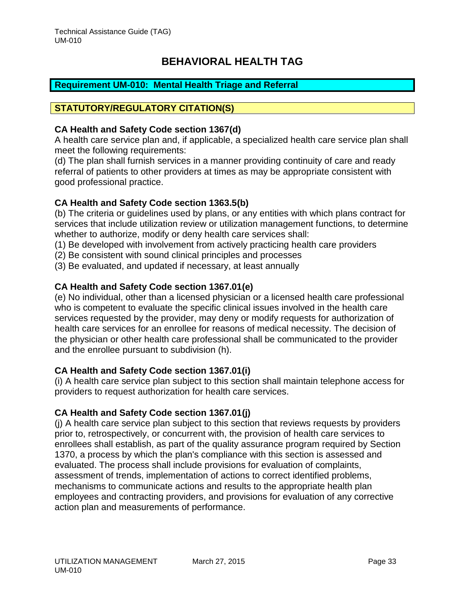## <span id="page-33-0"></span>**Requirement UM-010: Mental Health Triage and Referral**

## **STATUTORY/REGULATORY CITATION(S)**

### **CA Health and Safety Code section 1367(d)**

A health care service plan and, if applicable, a specialized health care service plan shall meet the following requirements:

(d) The plan shall furnish services in a manner providing continuity of care and ready referral of patients to other providers at times as may be appropriate consistent with good professional practice.

### **CA Health and Safety Code section 1363.5(b)**

(b) The criteria or guidelines used by plans, or any entities with which plans contract for services that include utilization review or utilization management functions, to determine whether to authorize, modify or deny health care services shall:

(1) Be developed with involvement from actively practicing health care providers

- (2) Be consistent with sound clinical principles and processes
- (3) Be evaluated, and updated if necessary, at least annually

### **CA Health and Safety Code section 1367.01(e)**

(e) No individual, other than a licensed physician or a licensed health care professional who is competent to evaluate the specific clinical issues involved in the health care services requested by the provider, may deny or modify requests for authorization of health care services for an enrollee for reasons of medical necessity. The decision of the physician or other health care professional shall be communicated to the provider and the enrollee pursuant to subdivision (h).

### **CA Health and Safety Code section 1367.01(i)**

(i) A health care service plan subject to this section shall maintain telephone access for providers to request authorization for health care services.

### **CA Health and Safety Code section 1367.01(j)**

(j) A health care service plan subject to this section that reviews requests by providers prior to, retrospectively, or concurrent with, the provision of health care services to enrollees shall establish, as part of the quality assurance program required by Section 1370, a process by which the plan's compliance with this section is assessed and evaluated. The process shall include provisions for evaluation of complaints, assessment of trends, implementation of actions to correct identified problems, mechanisms to communicate actions and results to the appropriate health plan employees and contracting providers, and provisions for evaluation of any corrective action plan and measurements of performance.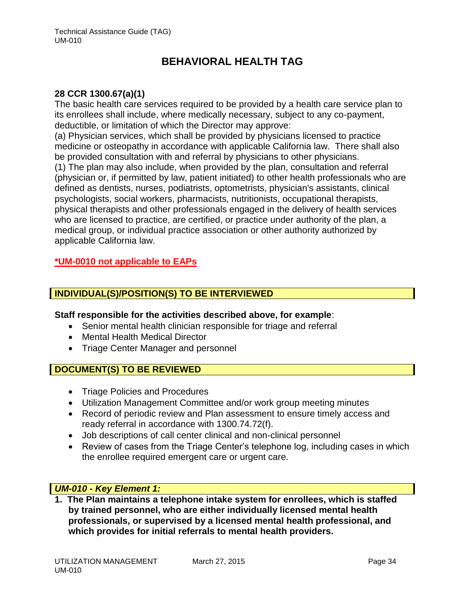### **28 CCR 1300.67(a)(1)**

The basic health care services required to be provided by a health care service plan to its enrollees shall include, where medically necessary, subject to any co-payment, deductible, or limitation of which the Director may approve:

(a) Physician services, which shall be provided by physicians licensed to practice medicine or osteopathy in accordance with applicable California law. There shall also be provided consultation with and referral by physicians to other physicians.

(1) The plan may also include, when provided by the plan, consultation and referral (physician or, if permitted by law, patient initiated) to other health professionals who are defined as dentists, nurses, podiatrists, optometrists, physician's assistants, clinical psychologists, social workers, pharmacists, nutritionists, occupational therapists, physical therapists and other professionals engaged in the delivery of health services who are licensed to practice, are certified, or practice under authority of the plan, a medical group, or individual practice association or other authority authorized by applicable California law.

### **\*UM-0010 not applicable to EAPs**

### **INDIVIDUAL(S)/POSITION(S) TO BE INTERVIEWED**

### **Staff responsible for the activities described above, for example**:

- Senior mental health clinician responsible for triage and referral
- Mental Health Medical Director
- Triage Center Manager and personnel

## **DOCUMENT(S) TO BE REVIEWED**

- Triage Policies and Procedures
- Utilization Management Committee and/or work group meeting minutes
- Record of periodic review and Plan assessment to ensure timely access and ready referral in accordance with 1300.74.72(f).
- Job descriptions of call center clinical and non-clinical personnel
- Review of cases from the Triage Center's telephone log, including cases in which the enrollee required emergent care or urgent care.

### *UM-010 - Key Element 1:*

**1. The Plan maintains a telephone intake system for enrollees, which is staffed by trained personnel, who are either individually licensed mental health professionals, or supervised by a licensed mental health professional, and which provides for initial referrals to mental health providers.**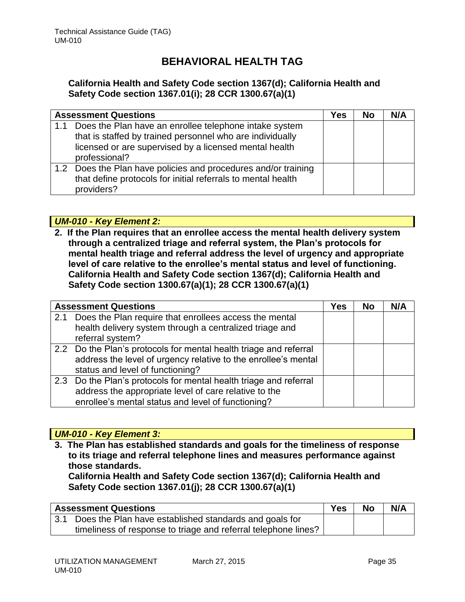## **California Health and Safety Code section 1367(d); California Health and Safety Code section 1367.01(i); 28 CCR 1300.67(a)(1)**

|     | <b>Assessment Questions</b>                                                                                                                                                                    | Yes | <b>No</b> | N/A |
|-----|------------------------------------------------------------------------------------------------------------------------------------------------------------------------------------------------|-----|-----------|-----|
| 1.1 | Does the Plan have an enrollee telephone intake system<br>that is staffed by trained personnel who are individually<br>licensed or are supervised by a licensed mental health<br>professional? |     |           |     |
|     | 1.2 Does the Plan have policies and procedures and/or training<br>that define protocols for initial referrals to mental health<br>providers?                                                   |     |           |     |

## *UM-010 - Key Element 2:*

**2. If the Plan requires that an enrollee access the mental health delivery system through a centralized triage and referral system, the Plan's protocols for mental health triage and referral address the level of urgency and appropriate level of care relative to the enrollee's mental status and level of functioning. California Health and Safety Code section 1367(d); California Health and Safety Code section 1300.67(a)(1); 28 CCR 1300.67(a)(1)**

|     | <b>Assessment Questions</b>                                       | <b>Yes</b> | <b>No</b> | N/A |
|-----|-------------------------------------------------------------------|------------|-----------|-----|
| 2.1 | Does the Plan require that enrollees access the mental            |            |           |     |
|     | health delivery system through a centralized triage and           |            |           |     |
|     | referral system?                                                  |            |           |     |
|     | 2.2 Do the Plan's protocols for mental health triage and referral |            |           |     |
|     | address the level of urgency relative to the enrollee's mental    |            |           |     |
|     | status and level of functioning?                                  |            |           |     |
|     | 2.3 Do the Plan's protocols for mental health triage and referral |            |           |     |
|     | address the appropriate level of care relative to the             |            |           |     |
|     | enrollee's mental status and level of functioning?                |            |           |     |

## *UM-010 - Key Element 3:*

**3. The Plan has established standards and goals for the timeliness of response to its triage and referral telephone lines and measures performance against those standards.** 

**California Health and Safety Code section 1367(d); California Health and Safety Code section 1367.01(j); 28 CCR 1300.67(a)(1)**

| <b>Assessment Questions</b>                                    | Yes | <b>No</b> | N/A |
|----------------------------------------------------------------|-----|-----------|-----|
| 3.1 Does the Plan have established standards and goals for     |     |           |     |
| timeliness of response to triage and referral telephone lines? |     |           |     |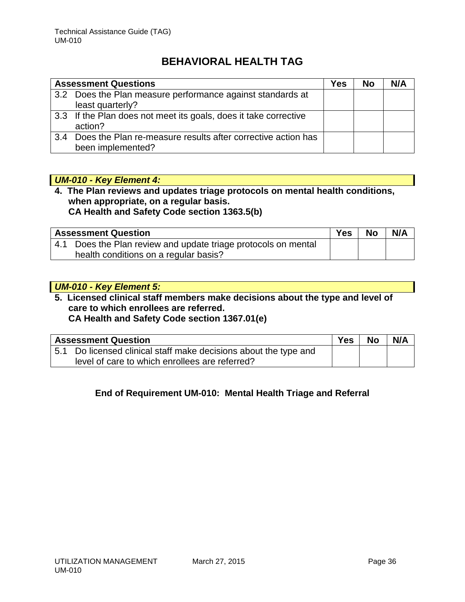|     | <b>Assessment Questions</b>                                      | Yes | <b>No</b> | N/A |
|-----|------------------------------------------------------------------|-----|-----------|-----|
|     | 3.2 Does the Plan measure performance against standards at       |     |           |     |
|     | least quarterly?                                                 |     |           |     |
|     | 3.3 If the Plan does not meet its goals, does it take corrective |     |           |     |
|     | action?                                                          |     |           |     |
| 3.4 | Does the Plan re-measure results after corrective action has     |     |           |     |
|     | been implemented?                                                |     |           |     |

### *UM-010 - Key Element 4:*

### **4. The Plan reviews and updates triage protocols on mental health conditions, when appropriate, on a regular basis. CA Health and Safety Code section 1363.5(b)**

| <b>Assessment Question</b>                                     | <b>Yes</b> | <b>No</b> | N/A |
|----------------------------------------------------------------|------------|-----------|-----|
| 4.1 Does the Plan review and update triage protocols on mental |            |           |     |
| health conditions on a regular basis?                          |            |           |     |

## *UM-010 - Key Element 5:* **5. Licensed clinical staff members make decisions about the type and level of care to which enrollees are referred. CA Health and Safety Code section 1367.01(e)**

|     | <b>Assessment Question</b>                                   | Yes | <b>No</b> | N/A |
|-----|--------------------------------------------------------------|-----|-----------|-----|
| 5.1 | Do licensed clinical staff make decisions about the type and |     |           |     |
|     | level of care to which enrollees are referred?               |     |           |     |

# **End of Requirement UM-010: Mental Health Triage and Referral**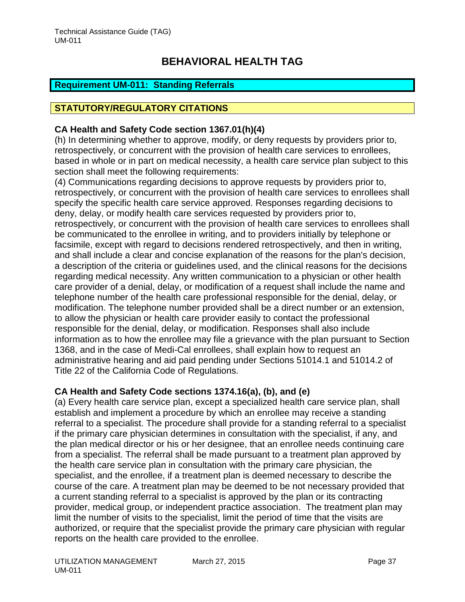# <span id="page-37-0"></span>**Requirement UM-011: Standing Referrals**

## **STATUTORY/REGULATORY CITATIONS**

## **CA Health and Safety Code section 1367.01(h)(4)**

(h) In determining whether to approve, modify, or deny requests by providers prior to, retrospectively, or concurrent with the provision of health care services to enrollees, based in whole or in part on medical necessity, a health care service plan subject to this section shall meet the following requirements:

(4) Communications regarding decisions to approve requests by providers prior to, retrospectively, or concurrent with the provision of health care services to enrollees shall specify the specific health care service approved. Responses regarding decisions to deny, delay, or modify health care services requested by providers prior to, retrospectively, or concurrent with the provision of health care services to enrollees shall be communicated to the enrollee in writing, and to providers initially by telephone or facsimile, except with regard to decisions rendered retrospectively, and then in writing, and shall include a clear and concise explanation of the reasons for the plan's decision, a description of the criteria or guidelines used, and the clinical reasons for the decisions regarding medical necessity. Any written communication to a physician or other health care provider of a denial, delay, or modification of a request shall include the name and telephone number of the health care professional responsible for the denial, delay, or modification. The telephone number provided shall be a direct number or an extension, to allow the physician or health care provider easily to contact the professional responsible for the denial, delay, or modification. Responses shall also include information as to how the enrollee may file a grievance with the plan pursuant to Section 1368, and in the case of Medi-Cal enrollees, shall explain how to request an administrative hearing and aid paid pending under Sections 51014.1 and 51014.2 of Title 22 of the California Code of Regulations.

## **CA Health and Safety Code sections 1374.16(a), (b), and (e)**

(a) Every health care service plan, except a specialized health care service plan, shall establish and implement a procedure by which an enrollee may receive a standing referral to a specialist. The procedure shall provide for a standing referral to a specialist if the primary care physician determines in consultation with the specialist, if any, and the plan medical director or his or her designee, that an enrollee needs continuing care from a specialist. The referral shall be made pursuant to a treatment plan approved by the health care service plan in consultation with the primary care physician, the specialist, and the enrollee, if a treatment plan is deemed necessary to describe the course of the care. A treatment plan may be deemed to be not necessary provided that a current standing referral to a specialist is approved by the plan or its contracting provider, medical group, or independent practice association. The treatment plan may limit the number of visits to the specialist, limit the period of time that the visits are authorized, or require that the specialist provide the primary care physician with regular reports on the health care provided to the enrollee.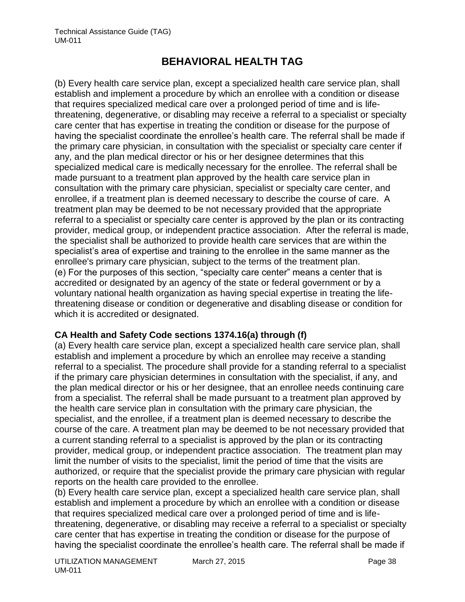(b) Every health care service plan, except a specialized health care service plan, shall establish and implement a procedure by which an enrollee with a condition or disease that requires specialized medical care over a prolonged period of time and is lifethreatening, degenerative, or disabling may receive a referral to a specialist or specialty care center that has expertise in treating the condition or disease for the purpose of having the specialist coordinate the enrollee's health care. The referral shall be made if the primary care physician, in consultation with the specialist or specialty care center if any, and the plan medical director or his or her designee determines that this specialized medical care is medically necessary for the enrollee. The referral shall be made pursuant to a treatment plan approved by the health care service plan in consultation with the primary care physician, specialist or specialty care center, and enrollee, if a treatment plan is deemed necessary to describe the course of care. A treatment plan may be deemed to be not necessary provided that the appropriate referral to a specialist or specialty care center is approved by the plan or its contracting provider, medical group, or independent practice association. After the referral is made, the specialist shall be authorized to provide health care services that are within the specialist's area of expertise and training to the enrollee in the same manner as the enrollee's primary care physician, subject to the terms of the treatment plan. (e) For the purposes of this section, "specialty care center" means a center that is accredited or designated by an agency of the state or federal government or by a voluntary national health organization as having special expertise in treating the lifethreatening disease or condition or degenerative and disabling disease or condition for which it is accredited or designated.

# **CA Health and Safety Code sections 1374.16(a) through (f)**

(a) Every health care service plan, except a specialized health care service plan, shall establish and implement a procedure by which an enrollee may receive a standing referral to a specialist. The procedure shall provide for a standing referral to a specialist if the primary care physician determines in consultation with the specialist, if any, and the plan medical director or his or her designee, that an enrollee needs continuing care from a specialist. The referral shall be made pursuant to a treatment plan approved by the health care service plan in consultation with the primary care physician, the specialist, and the enrollee, if a treatment plan is deemed necessary to describe the course of the care. A treatment plan may be deemed to be not necessary provided that a current standing referral to a specialist is approved by the plan or its contracting provider, medical group, or independent practice association. The treatment plan may limit the number of visits to the specialist, limit the period of time that the visits are authorized, or require that the specialist provide the primary care physician with regular reports on the health care provided to the enrollee.

(b) Every health care service plan, except a specialized health care service plan, shall establish and implement a procedure by which an enrollee with a condition or disease that requires specialized medical care over a prolonged period of time and is lifethreatening, degenerative, or disabling may receive a referral to a specialist or specialty care center that has expertise in treating the condition or disease for the purpose of having the specialist coordinate the enrollee's health care. The referral shall be made if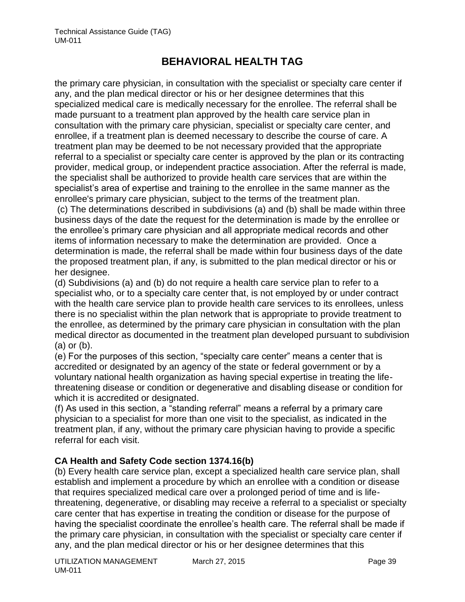the primary care physician, in consultation with the specialist or specialty care center if any, and the plan medical director or his or her designee determines that this specialized medical care is medically necessary for the enrollee. The referral shall be made pursuant to a treatment plan approved by the health care service plan in consultation with the primary care physician, specialist or specialty care center, and enrollee, if a treatment plan is deemed necessary to describe the course of care. A treatment plan may be deemed to be not necessary provided that the appropriate referral to a specialist or specialty care center is approved by the plan or its contracting provider, medical group, or independent practice association. After the referral is made, the specialist shall be authorized to provide health care services that are within the specialist's area of expertise and training to the enrollee in the same manner as the enrollee's primary care physician, subject to the terms of the treatment plan.

(c) The determinations described in subdivisions (a) and (b) shall be made within three business days of the date the request for the determination is made by the enrollee or the enrollee's primary care physician and all appropriate medical records and other items of information necessary to make the determination are provided. Once a determination is made, the referral shall be made within four business days of the date the proposed treatment plan, if any, is submitted to the plan medical director or his or her designee.

(d) Subdivisions (a) and (b) do not require a health care service plan to refer to a specialist who, or to a specialty care center that, is not employed by or under contract with the health care service plan to provide health care services to its enrollees, unless there is no specialist within the plan network that is appropriate to provide treatment to the enrollee, as determined by the primary care physician in consultation with the plan medical director as documented in the treatment plan developed pursuant to subdivision (a) or (b).

(e) For the purposes of this section, "specialty care center" means a center that is accredited or designated by an agency of the state or federal government or by a voluntary national health organization as having special expertise in treating the lifethreatening disease or condition or degenerative and disabling disease or condition for which it is accredited or designated.

(f) As used in this section, a "standing referral" means a referral by a primary care physician to a specialist for more than one visit to the specialist, as indicated in the treatment plan, if any, without the primary care physician having to provide a specific referral for each visit.

# **CA Health and Safety Code section 1374.16(b)**

(b) Every health care service plan, except a specialized health care service plan, shall establish and implement a procedure by which an enrollee with a condition or disease that requires specialized medical care over a prolonged period of time and is lifethreatening, degenerative, or disabling may receive a referral to a specialist or specialty care center that has expertise in treating the condition or disease for the purpose of having the specialist coordinate the enrollee's health care. The referral shall be made if the primary care physician, in consultation with the specialist or specialty care center if any, and the plan medical director or his or her designee determines that this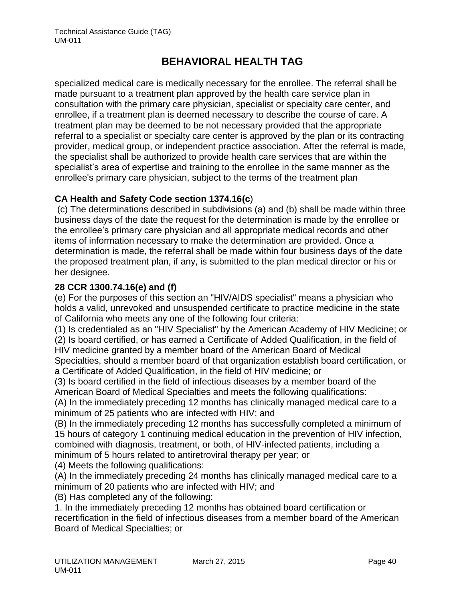specialized medical care is medically necessary for the enrollee. The referral shall be made pursuant to a treatment plan approved by the health care service plan in consultation with the primary care physician, specialist or specialty care center, and enrollee, if a treatment plan is deemed necessary to describe the course of care. A treatment plan may be deemed to be not necessary provided that the appropriate referral to a specialist or specialty care center is approved by the plan or its contracting provider, medical group, or independent practice association. After the referral is made, the specialist shall be authorized to provide health care services that are within the specialist's area of expertise and training to the enrollee in the same manner as the enrollee's primary care physician, subject to the terms of the treatment plan

## **CA Health and Safety Code section 1374.16(c**)

(c) The determinations described in subdivisions (a) and (b) shall be made within three business days of the date the request for the determination is made by the enrollee or the enrollee's primary care physician and all appropriate medical records and other items of information necessary to make the determination are provided. Once a determination is made, the referral shall be made within four business days of the date the proposed treatment plan, if any, is submitted to the plan medical director or his or her designee.

# **28 CCR 1300.74.16(e) and (f)**

(e) For the purposes of this section an "HIV/AIDS specialist" means a physician who holds a valid, unrevoked and unsuspended certificate to practice medicine in the state of California who meets any one of the following four criteria:

(1) Is credentialed as an "HIV Specialist" by the American Academy of HIV Medicine; or (2) Is board certified, or has earned a Certificate of Added Qualification, in the field of HIV medicine granted by a member board of the American Board of Medical

Specialties, should a member board of that organization establish board certification, or a Certificate of Added Qualification, in the field of HIV medicine; or

(3) Is board certified in the field of infectious diseases by a member board of the American Board of Medical Specialties and meets the following qualifications:

(A) In the immediately preceding 12 months has clinically managed medical care to a minimum of 25 patients who are infected with HIV; and

(B) In the immediately preceding 12 months has successfully completed a minimum of 15 hours of category 1 continuing medical education in the prevention of HIV infection, combined with diagnosis, treatment, or both, of HIV-infected patients, including a minimum of 5 hours related to antiretroviral therapy per year; or

(4) Meets the following qualifications:

(A) In the immediately preceding 24 months has clinically managed medical care to a minimum of 20 patients who are infected with HIV; and

(B) Has completed any of the following:

1. In the immediately preceding 12 months has obtained board certification or recertification in the field of infectious diseases from a member board of the American Board of Medical Specialties; or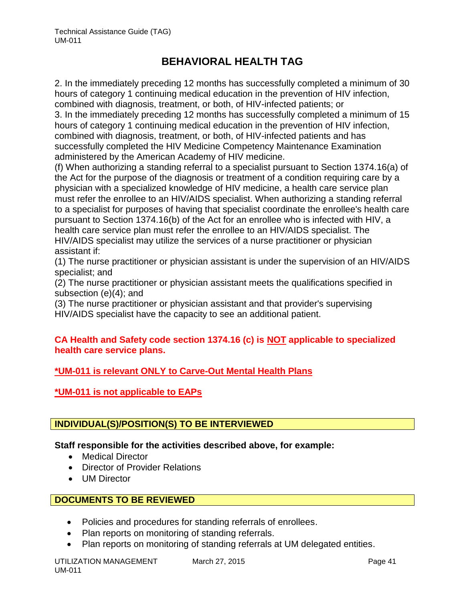2. In the immediately preceding 12 months has successfully completed a minimum of 30 hours of category 1 continuing medical education in the prevention of HIV infection, combined with diagnosis, treatment, or both, of HIV-infected patients; or 3. In the immediately preceding 12 months has successfully completed a minimum of 15 hours of category 1 continuing medical education in the prevention of HIV infection, combined with diagnosis, treatment, or both, of HIV-infected patients and has successfully completed the HIV Medicine Competency Maintenance Examination administered by the American Academy of HIV medicine.

(f) When authorizing a standing referral to a specialist pursuant to Section 1374.16(a) of the Act for the purpose of the diagnosis or treatment of a condition requiring care by a physician with a specialized knowledge of HIV medicine, a health care service plan must refer the enrollee to an HIV/AIDS specialist. When authorizing a standing referral to a specialist for purposes of having that specialist coordinate the enrollee's health care pursuant to Section 1374.16(b) of the Act for an enrollee who is infected with HIV, a health care service plan must refer the enrollee to an HIV/AIDS specialist. The HIV/AIDS specialist may utilize the services of a nurse practitioner or physician assistant if:

(1) The nurse practitioner or physician assistant is under the supervision of an HIV/AIDS specialist; and

(2) The nurse practitioner or physician assistant meets the qualifications specified in subsection (e)(4); and

(3) The nurse practitioner or physician assistant and that provider's supervising HIV/AIDS specialist have the capacity to see an additional patient.

## **CA Health and Safety code section 1374.16 (c) is NOT applicable to specialized health care service plans.**

# **\*UM-011 is relevant ONLY to Carve-Out Mental Health Plans**

**\*UM-011 is not applicable to EAPs**

# **INDIVIDUAL(S)/POSITION(S) TO BE INTERVIEWED**

**Staff responsible for the activities described above, for example:**

- Medical Director
- Director of Provider Relations
- UM Director

# **DOCUMENTS TO BE REVIEWED**

- Policies and procedures for standing referrals of enrollees.
- Plan reports on monitoring of standing referrals.
- Plan reports on monitoring of standing referrals at UM delegated entities.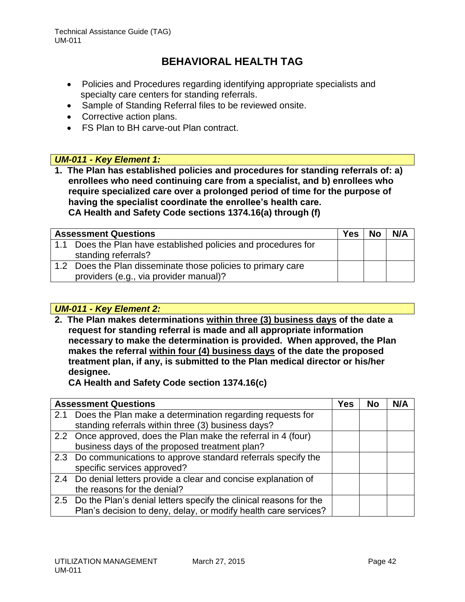- Policies and Procedures regarding identifying appropriate specialists and specialty care centers for standing referrals.
- Sample of Standing Referral files to be reviewed onsite.
- Corrective action plans.
- FS Plan to BH carve-out Plan contract.

## *UM-011 - Key Element 1:*

**1. The Plan has established policies and procedures for standing referrals of: a) enrollees who need continuing care from a specialist, and b) enrollees who require specialized care over a prolonged period of time for the purpose of having the specialist coordinate the enrollee's health care. CA Health and Safety Code sections 1374.16(a) through (f)**

| <b>Assessment Questions</b> |                                                                | <b>Yes</b> | <b>No</b> | N/A |
|-----------------------------|----------------------------------------------------------------|------------|-----------|-----|
|                             | 1.1 Does the Plan have established policies and procedures for |            |           |     |
|                             | standing referrals?                                            |            |           |     |
|                             | 1.2 Does the Plan disseminate those policies to primary care   |            |           |     |
|                             | providers (e.g., via provider manual)?                         |            |           |     |

## *UM-011 - Key Element 2:*

**2. The Plan makes determinations within three (3) business days of the date a request for standing referral is made and all appropriate information necessary to make the determination is provided. When approved, the Plan makes the referral within four (4) business days of the date the proposed treatment plan, if any, is submitted to the Plan medical director or his/her designee.** 

**CA Health and Safety Code section 1374.16(c)**

| <b>Assessment Questions</b>                                           | Yes | <b>No</b> | N/A |
|-----------------------------------------------------------------------|-----|-----------|-----|
| 2.1 Does the Plan make a determination regarding requests for         |     |           |     |
| standing referrals within three (3) business days?                    |     |           |     |
| 2.2 Once approved, does the Plan make the referral in 4 (four)        |     |           |     |
| business days of the proposed treatment plan?                         |     |           |     |
| 2.3 Do communications to approve standard referrals specify the       |     |           |     |
| specific services approved?                                           |     |           |     |
| 2.4 Do denial letters provide a clear and concise explanation of      |     |           |     |
| the reasons for the denial?                                           |     |           |     |
| 2.5 Do the Plan's denial letters specify the clinical reasons for the |     |           |     |
| Plan's decision to deny, delay, or modify health care services?       |     |           |     |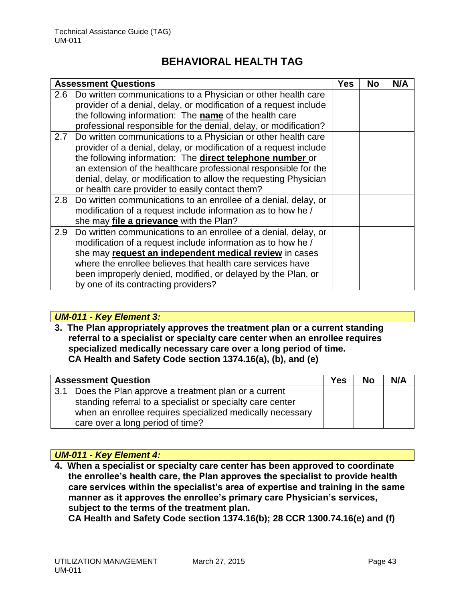|     | <b>Assessment Questions</b>                                       | Yes | <b>No</b> | N/A |
|-----|-------------------------------------------------------------------|-----|-----------|-----|
|     | 2.6 Do written communications to a Physician or other health care |     |           |     |
|     | provider of a denial, delay, or modification of a request include |     |           |     |
|     | the following information: The name of the health care            |     |           |     |
|     | professional responsible for the denial, delay, or modification?  |     |           |     |
| 2.7 | Do written communications to a Physician or other health care     |     |           |     |
|     | provider of a denial, delay, or modification of a request include |     |           |     |
|     | the following information: The direct telephone number or         |     |           |     |
|     | an extension of the healthcare professional responsible for the   |     |           |     |
|     | denial, delay, or modification to allow the requesting Physician  |     |           |     |
|     | or health care provider to easily contact them?                   |     |           |     |
| 2.8 | Do written communications to an enrollee of a denial, delay, or   |     |           |     |
|     | modification of a request include information as to how he /      |     |           |     |
|     | she may file a grievance with the Plan?                           |     |           |     |
| 2.9 | Do written communications to an enrollee of a denial, delay, or   |     |           |     |
|     | modification of a request include information as to how he /      |     |           |     |
|     | she may request an independent medical review in cases            |     |           |     |
|     | where the enrollee believes that health care services have        |     |           |     |
|     | been improperly denied, modified, or delayed by the Plan, or      |     |           |     |
|     | by one of its contracting providers?                              |     |           |     |

## *UM-011 - Key Element 3:*

**3. The Plan appropriately approves the treatment plan or a current standing referral to a specialist or specialty care center when an enrollee requires specialized medically necessary care over a long period of time. CA Health and Safety Code section 1374.16(a), (b), and (e)**

| <b>Assessment Question</b> |                                                            | <b>Yes</b> | <b>No</b> | N/A |
|----------------------------|------------------------------------------------------------|------------|-----------|-----|
| 3.1                        | Does the Plan approve a treatment plan or a current        |            |           |     |
|                            | standing referral to a specialist or specialty care center |            |           |     |
|                            | when an enrollee requires specialized medically necessary  |            |           |     |
|                            | care over a long period of time?                           |            |           |     |

## *UM-011 - Key Element 4:*

**4. When a specialist or specialty care center has been approved to coordinate the enrollee's health care, the Plan approves the specialist to provide health care services within the specialist's area of expertise and training in the same manner as it approves the enrollee's primary care Physician's services, subject to the terms of the treatment plan.** 

**CA Health and Safety Code section 1374.16(b); 28 CCR 1300.74.16(e) and (f)**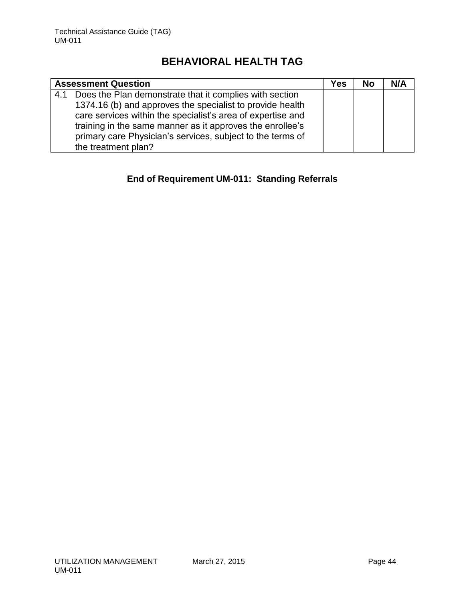|     | <b>Assessment Question</b>                                  | <b>Yes</b> | <b>No</b> | N/A |
|-----|-------------------------------------------------------------|------------|-----------|-----|
| 4.1 | Does the Plan demonstrate that it complies with section     |            |           |     |
|     | 1374.16 (b) and approves the specialist to provide health   |            |           |     |
|     | care services within the specialist's area of expertise and |            |           |     |
|     | training in the same manner as it approves the enrollee's   |            |           |     |
|     | primary care Physician's services, subject to the terms of  |            |           |     |
|     | the treatment plan?                                         |            |           |     |

# **End of Requirement UM-011: Standing Referrals**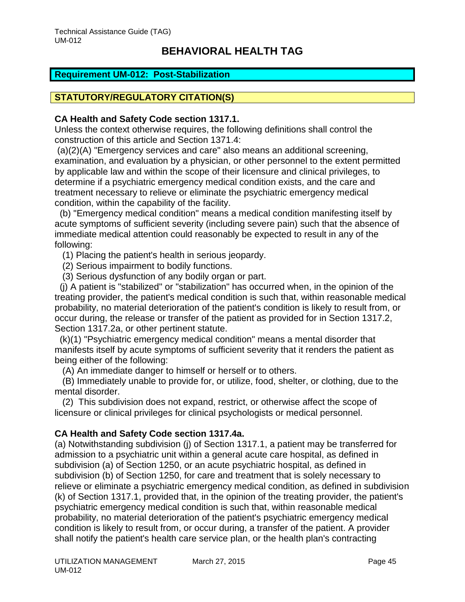## <span id="page-45-0"></span>**Requirement UM-012: Post-Stabilization**

# **STATUTORY/REGULATORY CITATION(S)**

### **CA Health and Safety Code section 1317.1.**

Unless the context otherwise requires, the following definitions shall control the construction of this article and Section 1371.4:

(a)(2)(A) "Emergency services and care" also means an additional screening, examination, and evaluation by a physician, or other personnel to the extent permitted by applicable law and within the scope of their licensure and clinical privileges, to determine if a psychiatric emergency medical condition exists, and the care and treatment necessary to relieve or eliminate the psychiatric emergency medical condition, within the capability of the facility.

 (b) "Emergency medical condition" means a medical condition manifesting itself by acute symptoms of sufficient severity (including severe pain) such that the absence of immediate medical attention could reasonably be expected to result in any of the following:

(1) Placing the patient's health in serious jeopardy.

(2) Serious impairment to bodily functions.

(3) Serious dysfunction of any bodily organ or part.

 (j) A patient is "stabilized" or "stabilization" has occurred when, in the opinion of the treating provider, the patient's medical condition is such that, within reasonable medical probability, no material deterioration of the patient's condition is likely to result from, or occur during, the release or transfer of the patient as provided for in Section 1317.2, Section 1317.2a, or other pertinent statute.

 (k)(1) "Psychiatric emergency medical condition" means a mental disorder that manifests itself by acute symptoms of sufficient severity that it renders the patient as being either of the following:

(A) An immediate danger to himself or herself or to others.

 (B) Immediately unable to provide for, or utilize, food, shelter, or clothing, due to the mental disorder.

 (2) This subdivision does not expand, restrict, or otherwise affect the scope of licensure or clinical privileges for clinical psychologists or medical personnel.

## **CA Health and Safety Code section 1317.4a.**

(a) Notwithstanding subdivision (j) of Section 1317.1, a patient may be transferred for admission to a psychiatric unit within a general acute care hospital, as defined in subdivision (a) of Section 1250, or an acute psychiatric hospital, as defined in subdivision (b) of Section 1250, for care and treatment that is solely necessary to relieve or eliminate a psychiatric emergency medical condition, as defined in subdivision (k) of Section 1317.1, provided that, in the opinion of the treating provider, the patient's psychiatric emergency medical condition is such that, within reasonable medical probability, no material deterioration of the patient's psychiatric emergency medical condition is likely to result from, or occur during, a transfer of the patient. A provider shall notify the patient's health care service plan, or the health plan's contracting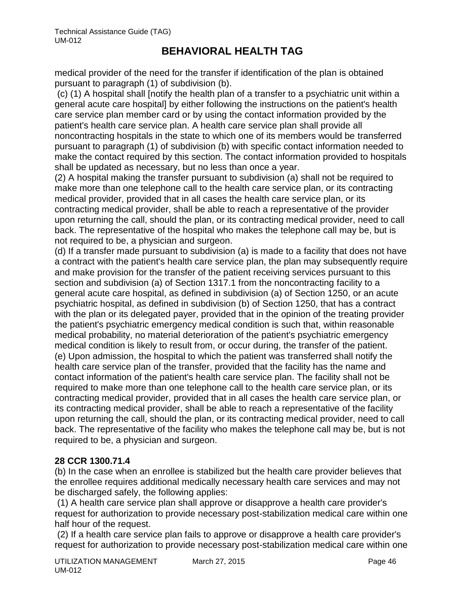medical provider of the need for the transfer if identification of the plan is obtained pursuant to paragraph (1) of subdivision (b).

(c) (1) A hospital shall [notify the health plan of a transfer to a psychiatric unit within a general acute care hospital] by either following the instructions on the patient's health care service plan member card or by using the contact information provided by the patient's health care service plan. A health care service plan shall provide all noncontracting hospitals in the state to which one of its members would be transferred pursuant to paragraph (1) of subdivision (b) with specific contact information needed to make the contact required by this section. The contact information provided to hospitals shall be updated as necessary, but no less than once a year.

(2) A hospital making the transfer pursuant to subdivision (a) shall not be required to make more than one telephone call to the health care service plan, or its contracting medical provider, provided that in all cases the health care service plan, or its contracting medical provider, shall be able to reach a representative of the provider upon returning the call, should the plan, or its contracting medical provider, need to call back. The representative of the hospital who makes the telephone call may be, but is not required to be, a physician and surgeon.

(d) If a transfer made pursuant to subdivision (a) is made to a facility that does not have a contract with the patient's health care service plan, the plan may subsequently require and make provision for the transfer of the patient receiving services pursuant to this section and subdivision (a) of Section 1317.1 from the noncontracting facility to a general acute care hospital, as defined in subdivision (a) of Section 1250, or an acute psychiatric hospital, as defined in subdivision (b) of Section 1250, that has a contract with the plan or its delegated payer, provided that in the opinion of the treating provider the patient's psychiatric emergency medical condition is such that, within reasonable medical probability, no material deterioration of the patient's psychiatric emergency medical condition is likely to result from, or occur during, the transfer of the patient. (e) Upon admission, the hospital to which the patient was transferred shall notify the health care service plan of the transfer, provided that the facility has the name and contact information of the patient's health care service plan. The facility shall not be required to make more than one telephone call to the health care service plan, or its contracting medical provider, provided that in all cases the health care service plan, or its contracting medical provider, shall be able to reach a representative of the facility upon returning the call, should the plan, or its contracting medical provider, need to call back. The representative of the facility who makes the telephone call may be, but is not required to be, a physician and surgeon.

# **28 CCR 1300.71.4**

(b) In the case when an enrollee is stabilized but the health care provider believes that the enrollee requires additional medically necessary health care services and may not be discharged safely, the following applies:

(1) A health care service plan shall approve or disapprove a health care provider's request for authorization to provide necessary post-stabilization medical care within one half hour of the request.

(2) If a health care service plan fails to approve or disapprove a health care provider's request for authorization to provide necessary post-stabilization medical care within one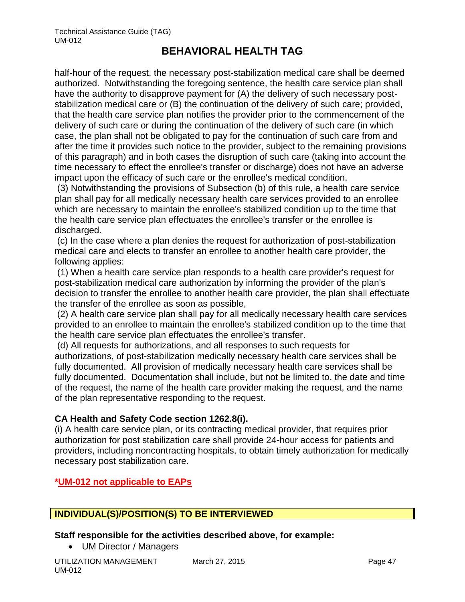half-hour of the request, the necessary post-stabilization medical care shall be deemed authorized. Notwithstanding the foregoing sentence, the health care service plan shall have the authority to disapprove payment for (A) the delivery of such necessary poststabilization medical care or (B) the continuation of the delivery of such care; provided, that the health care service plan notifies the provider prior to the commencement of the delivery of such care or during the continuation of the delivery of such care (in which case, the plan shall not be obligated to pay for the continuation of such care from and after the time it provides such notice to the provider, subject to the remaining provisions of this paragraph) and in both cases the disruption of such care (taking into account the time necessary to effect the enrollee's transfer or discharge) does not have an adverse impact upon the efficacy of such care or the enrollee's medical condition.

(3) Notwithstanding the provisions of Subsection (b) of this rule, a health care service plan shall pay for all medically necessary health care services provided to an enrollee which are necessary to maintain the enrollee's stabilized condition up to the time that the health care service plan effectuates the enrollee's transfer or the enrollee is discharged.

(c) In the case where a plan denies the request for authorization of post-stabilization medical care and elects to transfer an enrollee to another health care provider, the following applies:

(1) When a health care service plan responds to a health care provider's request for post-stabilization medical care authorization by informing the provider of the plan's decision to transfer the enrollee to another health care provider, the plan shall effectuate the transfer of the enrollee as soon as possible,

(2) A health care service plan shall pay for all medically necessary health care services provided to an enrollee to maintain the enrollee's stabilized condition up to the time that the health care service plan effectuates the enrollee's transfer.

(d) All requests for authorizations, and all responses to such requests for authorizations, of post-stabilization medically necessary health care services shall be fully documented. All provision of medically necessary health care services shall be fully documented. Documentation shall include, but not be limited to, the date and time of the request, the name of the health care provider making the request, and the name of the plan representative responding to the request.

# **CA Health and Safety Code section 1262.8(i).**

(i) A health care service plan, or its contracting medical provider, that requires prior authorization for post stabilization care shall provide 24-hour access for patients and providers, including noncontracting hospitals, to obtain timely authorization for medically necessary post stabilization care.

# **\*UM-012 not applicable to EAPs**

# **INDIVIDUAL(S)/POSITION(S) TO BE INTERVIEWED**

## **Staff responsible for the activities described above, for example:**

• UM Director / Managers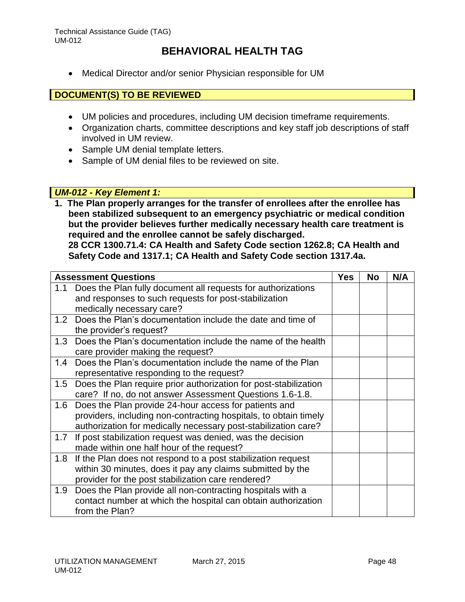Medical Director and/or senior Physician responsible for UM

## **DOCUMENT(S) TO BE REVIEWED**

- UM policies and procedures, including UM decision timeframe requirements.
- Organization charts, committee descriptions and key staff job descriptions of staff involved in UM review.
- Sample UM denial template letters.
- Sample of UM denial files to be reviewed on site.

### *UM-012 - Key Element 1:*

**1. The Plan properly arranges for the transfer of enrollees after the enrollee has been stabilized subsequent to an emergency psychiatric or medical condition but the provider believes further medically necessary health care treatment is required and the enrollee cannot be safely discharged.**

**28 CCR 1300.71.4: CA Health and Safety Code section 1262.8; CA Health and Safety Code and 1317.1; CA Health and Safety Code section 1317.4a.**

| <b>Assessment Questions</b> |                                                                  | <b>Yes</b> | <b>No</b> | N/A |
|-----------------------------|------------------------------------------------------------------|------------|-----------|-----|
| 1.1                         | Does the Plan fully document all requests for authorizations     |            |           |     |
|                             | and responses to such requests for post-stabilization            |            |           |     |
|                             | medically necessary care?                                        |            |           |     |
| 1.2                         | Does the Plan's documentation include the date and time of       |            |           |     |
|                             | the provider's request?                                          |            |           |     |
| 1.3                         | Does the Plan's documentation include the name of the health     |            |           |     |
|                             | care provider making the request?                                |            |           |     |
| 1.4                         | Does the Plan's documentation include the name of the Plan       |            |           |     |
|                             | representative responding to the request?                        |            |           |     |
| 1.5                         | Does the Plan require prior authorization for post-stabilization |            |           |     |
|                             | care? If no, do not answer Assessment Questions 1.6-1.8.         |            |           |     |
| 1.6                         | Does the Plan provide 24-hour access for patients and            |            |           |     |
|                             | providers, including non-contracting hospitals, to obtain timely |            |           |     |
|                             | authorization for medically necessary post-stabilization care?   |            |           |     |
| 1.7                         | If post stabilization request was denied, was the decision       |            |           |     |
|                             | made within one half hour of the request?                        |            |           |     |
| 1.8                         | If the Plan does not respond to a post stabilization request     |            |           |     |
|                             | within 30 minutes, does it pay any claims submitted by the       |            |           |     |
|                             | provider for the post stabilization care rendered?               |            |           |     |
| 1.9                         | Does the Plan provide all non-contracting hospitals with a       |            |           |     |
|                             | contact number at which the hospital can obtain authorization    |            |           |     |
|                             | from the Plan?                                                   |            |           |     |